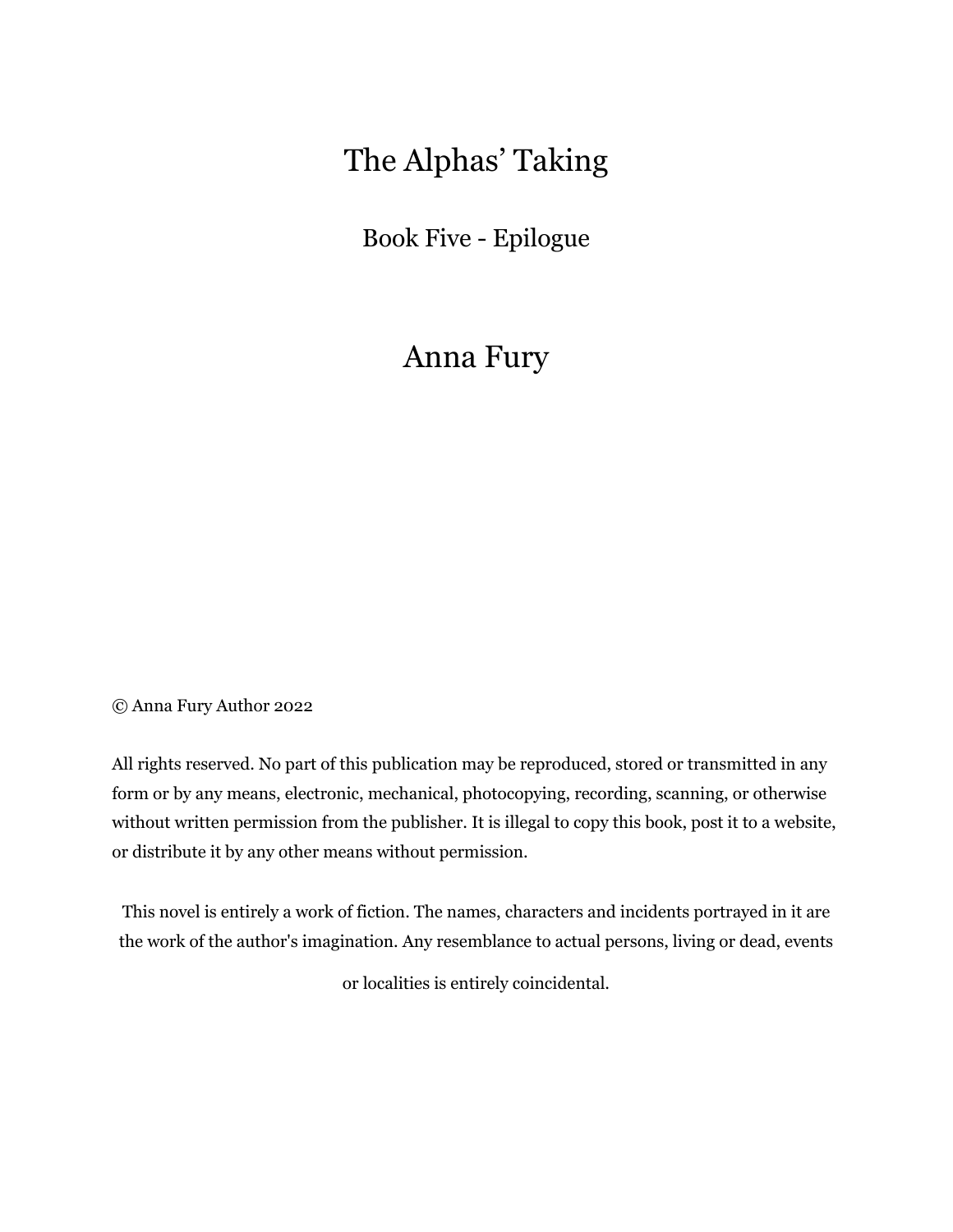# The Alphas' Taking

Book Five - Epilogue

Anna Fury

© Anna Fury Author 2022

All rights reserved. No part of this publication may be reproduced, stored or transmitted in any form or by any means, electronic, mechanical, photocopying, recording, scanning, or otherwise without written permission from the publisher. It is illegal to copy this book, post it to a website, or distribute it by any other means without permission.

This novel is entirely a work of fiction. The names, characters and incidents portrayed in it are the work of the author's imagination. Any resemblance to actual persons, living or dead, events

or localities is entirely coincidental.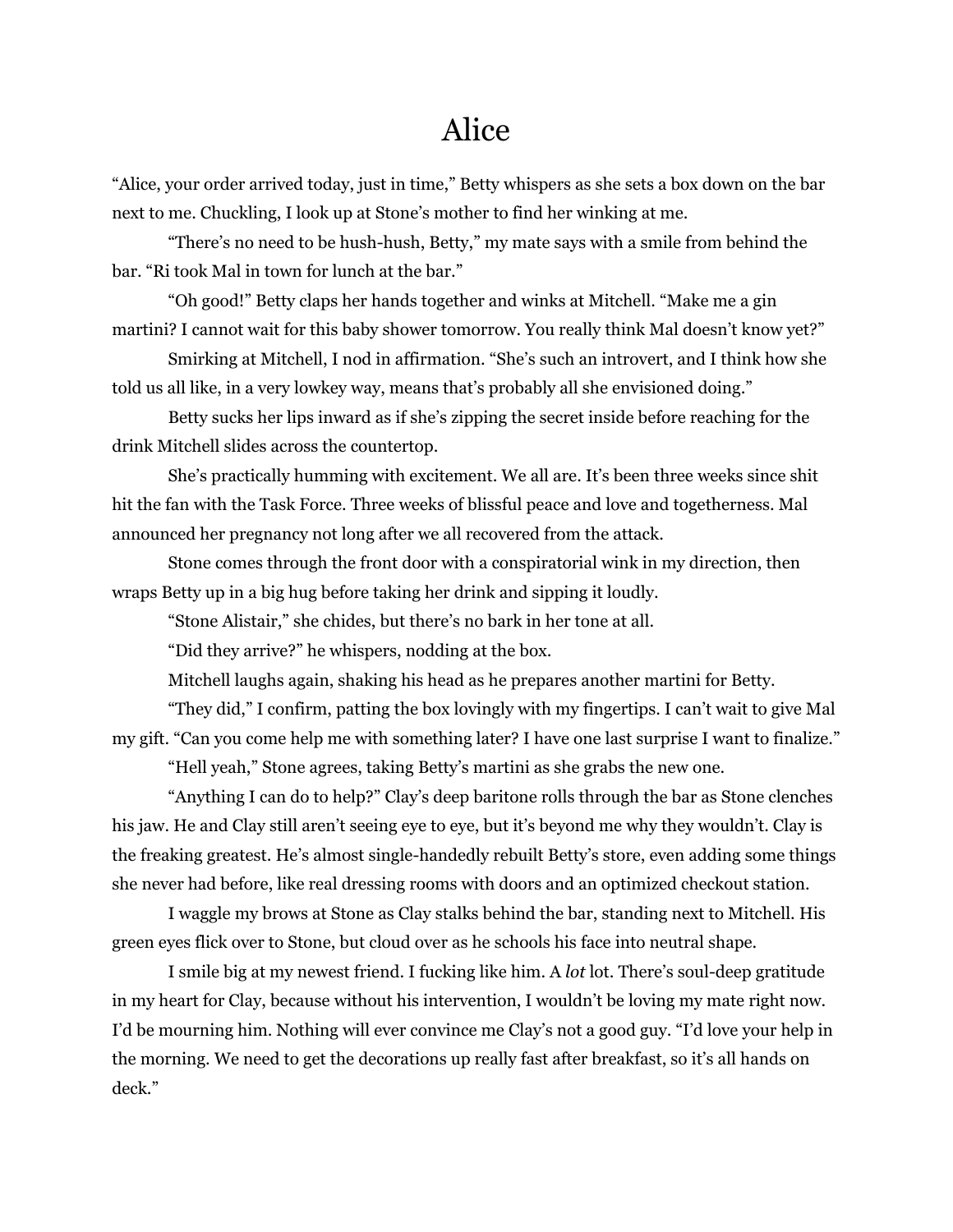## Alice

"Alice, your order arrived today, just in time," Betty whispers as she sets a box down on the bar next to me. Chuckling, I look up at Stone's mother to find her winking at me.

"There's no need to be hush-hush, Betty," my mate says with a smile from behind the bar. "Ri took Mal in town for lunch at the bar."

"Oh good!" Betty claps her hands together and winks at Mitchell. "Make me a gin martini? I cannot wait for this baby shower tomorrow. You really think Mal doesn't know yet?"

Smirking at Mitchell, I nod in affirmation. "She's such an introvert, and I think how she told us all like, in a very lowkey way, means that's probably all she envisioned doing."

Betty sucks her lips inward as if she's zipping the secret inside before reaching for the drink Mitchell slides across the countertop.

She's practically humming with excitement. We all are. It's been three weeks since shit hit the fan with the Task Force. Three weeks of blissful peace and love and togetherness. Mal announced her pregnancy not long after we all recovered from the attack.

Stone comes through the front door with a conspiratorial wink in my direction, then wraps Betty up in a big hug before taking her drink and sipping it loudly.

"Stone Alistair," she chides, but there's no bark in her tone at all.

"Did they arrive?" he whispers, nodding at the box.

Mitchell laughs again, shaking his head as he prepares another martini for Betty.

"They did," I confirm, patting the box lovingly with my fingertips. I can't wait to give Mal my gift. "Can you come help me with something later? I have one last surprise I want to finalize."

"Hell yeah," Stone agrees, taking Betty's martini as she grabs the new one.

"Anything I can do to help?" Clay's deep baritone rolls through the bar as Stone clenches his jaw. He and Clay still aren't seeing eye to eye, but it's beyond me why they wouldn't. Clay is the freaking greatest. He's almost single-handedly rebuilt Betty's store, even adding some things she never had before, like real dressing rooms with doors and an optimized checkout station.

I waggle my brows at Stone as Clay stalks behind the bar, standing next to Mitchell. His green eyes flick over to Stone, but cloud over as he schools his face into neutral shape.

I smile big at my newest friend. I fucking like him. A *lot* lot. There's soul-deep gratitude in my heart for Clay, because without his intervention, I wouldn't be loving my mate right now. I'd be mourning him. Nothing will ever convince me Clay's not a good guy. "I'd love your help in the morning. We need to get the decorations up really fast after breakfast, so it's all hands on deck."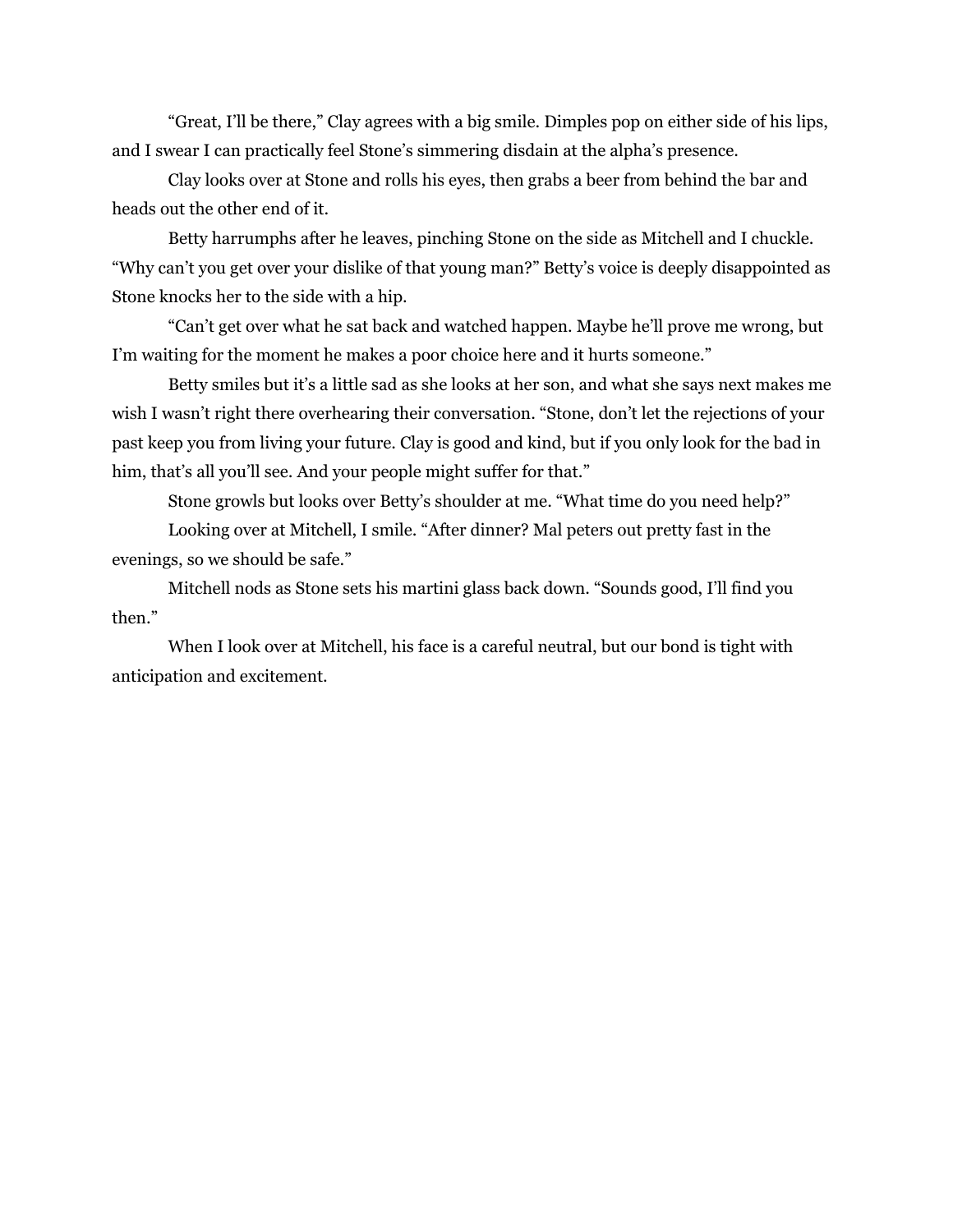"Great, I'll be there," Clay agrees with a big smile. Dimples pop on either side of his lips, and I swear I can practically feel Stone's simmering disdain at the alpha's presence.

Clay looks over at Stone and rolls his eyes, then grabs a beer from behind the bar and heads out the other end of it.

Betty harrumphs after he leaves, pinching Stone on the side as Mitchell and I chuckle. "Why can't you get over your dislike of that young man?" Betty's voice is deeply disappointed as Stone knocks her to the side with a hip.

"Can't get over what he sat back and watched happen. Maybe he'll prove me wrong, but I'm waiting for the moment he makes a poor choice here and it hurts someone."

Betty smiles but it's a little sad as she looks at her son, and what she says next makes me wish I wasn't right there overhearing their conversation. "Stone, don't let the rejections of your past keep you from living your future. Clay is good and kind, but if you only look for the bad in him, that's all you'll see. And your people might suffer for that."

Stone growls but looks over Betty's shoulder at me. "What time do you need help?"

Looking over at Mitchell, I smile. "After dinner? Mal peters out pretty fast in the evenings, so we should be safe."

Mitchell nods as Stone sets his martini glass back down. "Sounds good, I'll find you then."

When I look over at Mitchell, his face is a careful neutral, but our bond is tight with anticipation and excitement.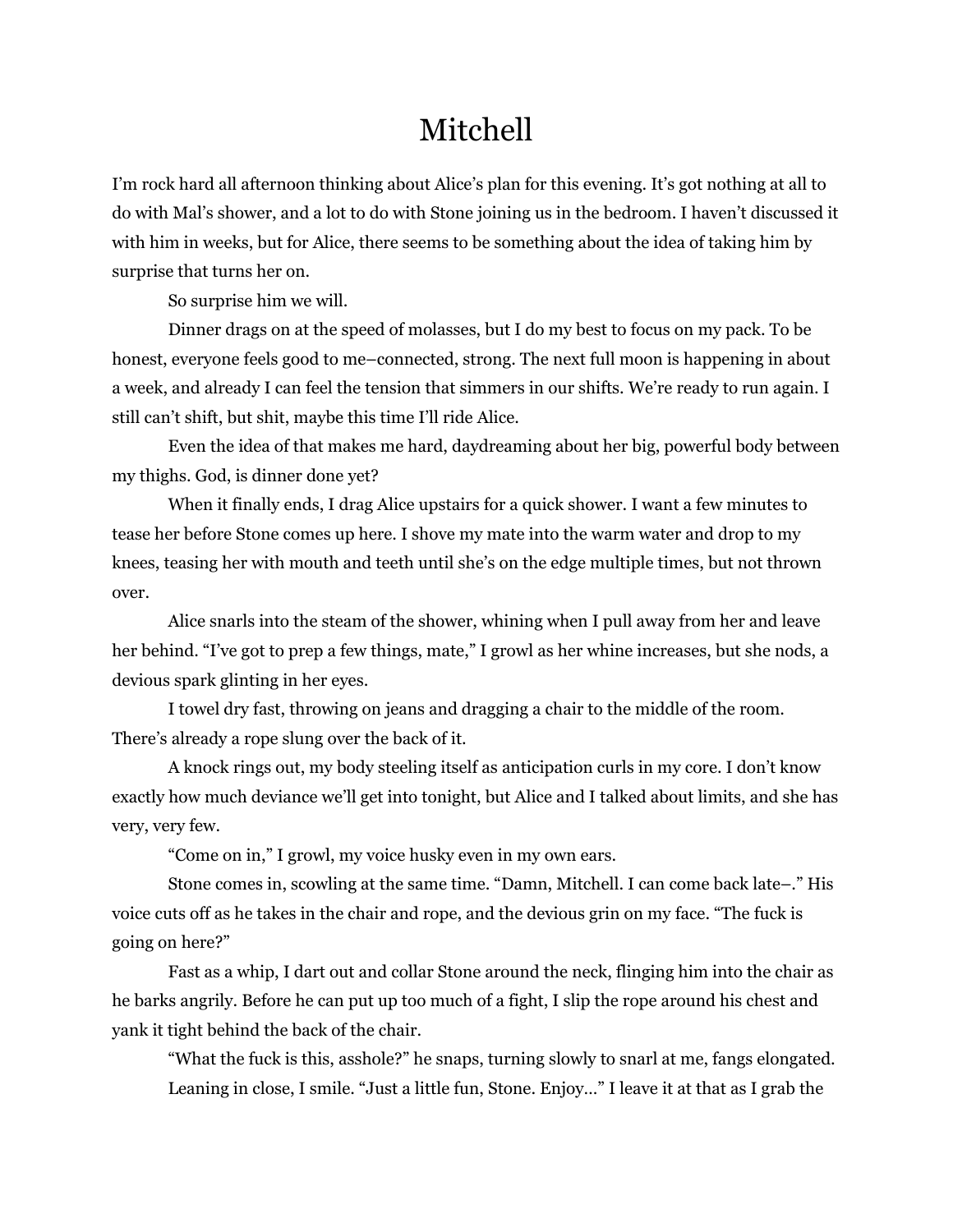# Mitchell

I'm rock hard all afternoon thinking about Alice's plan for this evening. It's got nothing at all to do with Mal's shower, and a lot to do with Stone joining us in the bedroom. I haven't discussed it with him in weeks, but for Alice, there seems to be something about the idea of taking him by surprise that turns her on.

So surprise him we will.

Dinner drags on at the speed of molasses, but I do my best to focus on my pack. To be honest, everyone feels good to me–connected, strong. The next full moon is happening in about a week, and already I can feel the tension that simmers in our shifts. We're ready to run again. I still can't shift, but shit, maybe this time I'll ride Alice.

Even the idea of that makes me hard, daydreaming about her big, powerful body between my thighs. God, is dinner done yet?

When it finally ends, I drag Alice upstairs for a quick shower. I want a few minutes to tease her before Stone comes up here. I shove my mate into the warm water and drop to my knees, teasing her with mouth and teeth until she's on the edge multiple times, but not thrown over.

Alice snarls into the steam of the shower, whining when I pull away from her and leave her behind. "I've got to prep a few things, mate," I growl as her whine increases, but she nods, a devious spark glinting in her eyes.

I towel dry fast, throwing on jeans and dragging a chair to the middle of the room. There's already a rope slung over the back of it.

A knock rings out, my body steeling itself as anticipation curls in my core. I don't know exactly how much deviance we'll get into tonight, but Alice and I talked about limits, and she has very, very few.

"Come on in," I growl, my voice husky even in my own ears.

Stone comes in, scowling at the same time. "Damn, Mitchell. I can come back late–." His voice cuts off as he takes in the chair and rope, and the devious grin on my face. "The fuck is going on here?"

Fast as a whip, I dart out and collar Stone around the neck, flinging him into the chair as he barks angrily. Before he can put up too much of a fight, I slip the rope around his chest and yank it tight behind the back of the chair.

"What the fuck is this, asshole?" he snaps, turning slowly to snarl at me, fangs elongated. Leaning in close, I smile. "Just a little fun, Stone. Enjoy…" I leave it at that as I grab the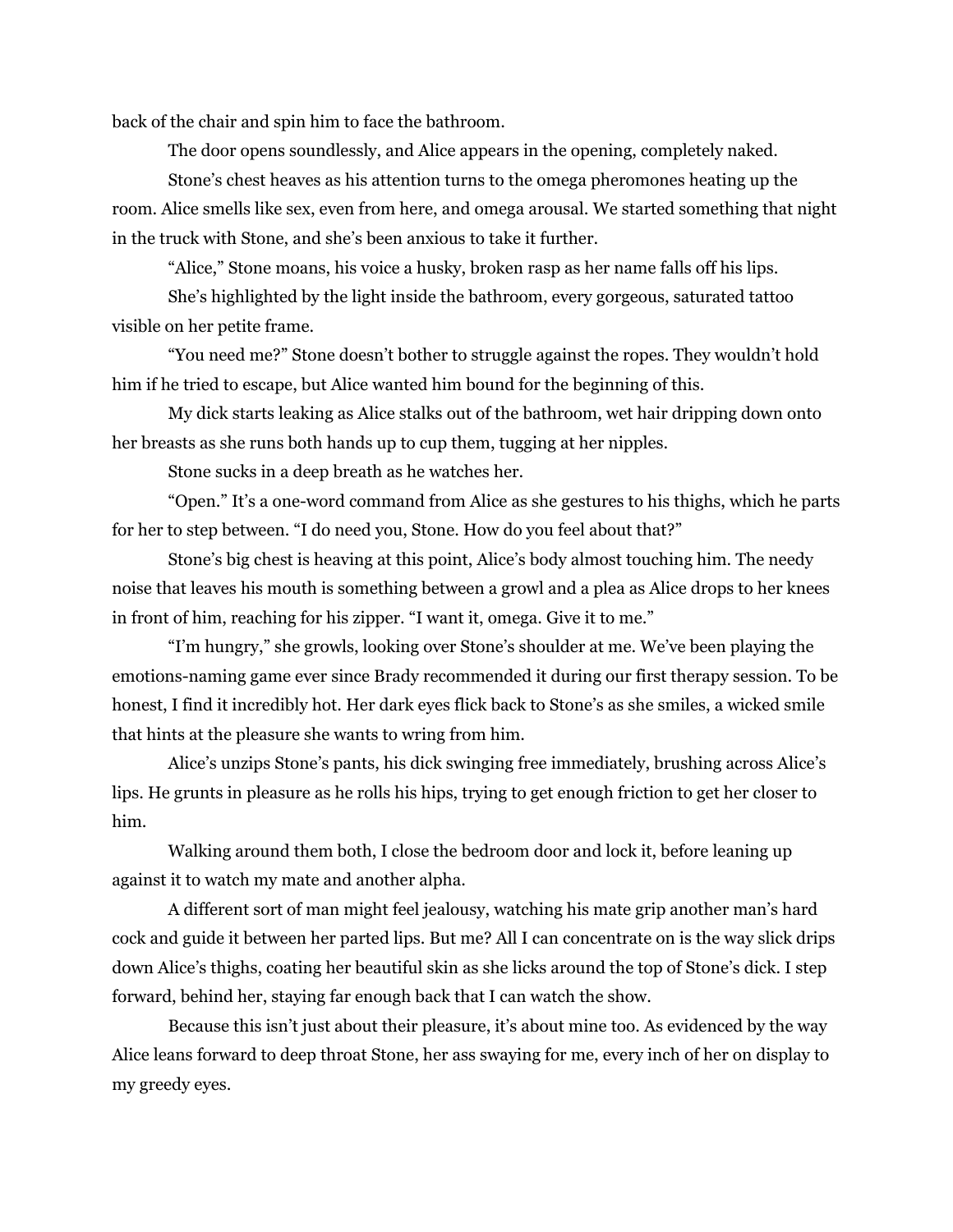back of the chair and spin him to face the bathroom.

The door opens soundlessly, and Alice appears in the opening, completely naked.

Stone's chest heaves as his attention turns to the omega pheromones heating up the room. Alice smells like sex, even from here, and omega arousal. We started something that night in the truck with Stone, and she's been anxious to take it further.

"Alice," Stone moans, his voice a husky, broken rasp as her name falls off his lips.

She's highlighted by the light inside the bathroom, every gorgeous, saturated tattoo visible on her petite frame.

"You need me?" Stone doesn't bother to struggle against the ropes. They wouldn't hold him if he tried to escape, but Alice wanted him bound for the beginning of this.

My dick starts leaking as Alice stalks out of the bathroom, wet hair dripping down onto her breasts as she runs both hands up to cup them, tugging at her nipples.

Stone sucks in a deep breath as he watches her.

"Open." It's a one-word command from Alice as she gestures to his thighs, which he parts for her to step between. "I do need you, Stone. How do you feel about that?"

Stone's big chest is heaving at this point, Alice's body almost touching him. The needy noise that leaves his mouth is something between a growl and a plea as Alice drops to her knees in front of him, reaching for his zipper. "I want it, omega. Give it to me."

"I'm hungry," she growls, looking over Stone's shoulder at me. We've been playing the emotions-naming game ever since Brady recommended it during our first therapy session. To be honest, I find it incredibly hot. Her dark eyes flick back to Stone's as she smiles, a wicked smile that hints at the pleasure she wants to wring from him.

Alice's unzips Stone's pants, his dick swinging free immediately, brushing across Alice's lips. He grunts in pleasure as he rolls his hips, trying to get enough friction to get her closer to him.

Walking around them both, I close the bedroom door and lock it, before leaning up against it to watch my mate and another alpha.

A different sort of man might feel jealousy, watching his mate grip another man's hard cock and guide it between her parted lips. But me? All I can concentrate on is the way slick drips down Alice's thighs, coating her beautiful skin as she licks around the top of Stone's dick. I step forward, behind her, staying far enough back that I can watch the show.

Because this isn't just about their pleasure, it's about mine too. As evidenced by the way Alice leans forward to deep throat Stone, her ass swaying for me, every inch of her on display to my greedy eyes.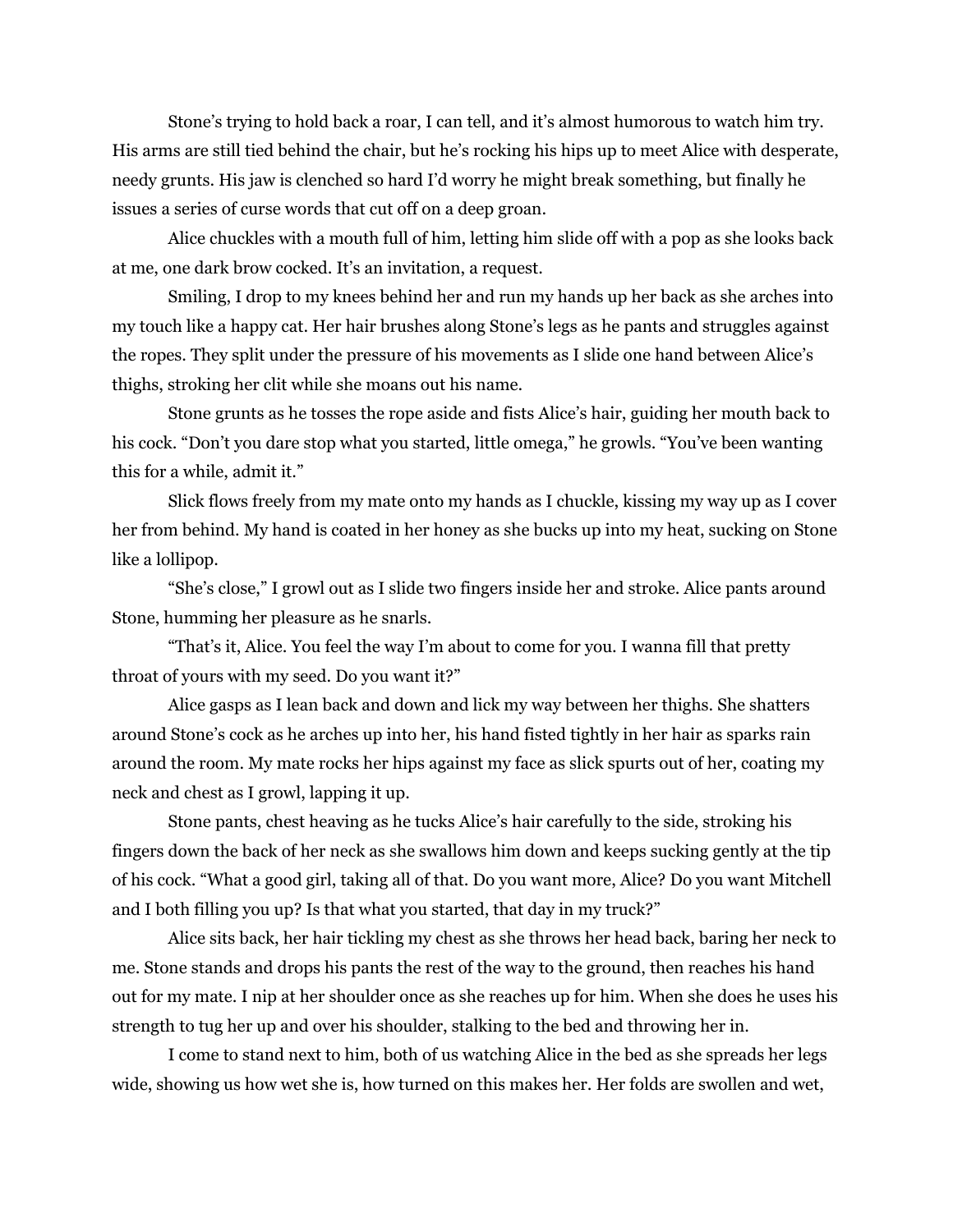Stone's trying to hold back a roar, I can tell, and it's almost humorous to watch him try. His arms are still tied behind the chair, but he's rocking his hips up to meet Alice with desperate, needy grunts. His jaw is clenched so hard I'd worry he might break something, but finally he issues a series of curse words that cut off on a deep groan.

Alice chuckles with a mouth full of him, letting him slide off with a pop as she looks back at me, one dark brow cocked. It's an invitation, a request.

Smiling, I drop to my knees behind her and run my hands up her back as she arches into my touch like a happy cat. Her hair brushes along Stone's legs as he pants and struggles against the ropes. They split under the pressure of his movements as I slide one hand between Alice's thighs, stroking her clit while she moans out his name.

Stone grunts as he tosses the rope aside and fists Alice's hair, guiding her mouth back to his cock. "Don't you dare stop what you started, little omega," he growls. "You've been wanting this for a while, admit it."

Slick flows freely from my mate onto my hands as I chuckle, kissing my way up as I cover her from behind. My hand is coated in her honey as she bucks up into my heat, sucking on Stone like a lollipop.

"She's close," I growl out as I slide two fingers inside her and stroke. Alice pants around Stone, humming her pleasure as he snarls.

"That's it, Alice. You feel the way I'm about to come for you. I wanna fill that pretty throat of yours with my seed. Do you want it?"

Alice gasps as I lean back and down and lick my way between her thighs. She shatters around Stone's cock as he arches up into her, his hand fisted tightly in her hair as sparks rain around the room. My mate rocks her hips against my face as slick spurts out of her, coating my neck and chest as I growl, lapping it up.

Stone pants, chest heaving as he tucks Alice's hair carefully to the side, stroking his fingers down the back of her neck as she swallows him down and keeps sucking gently at the tip of his cock. "What a good girl, taking all of that. Do you want more, Alice? Do you want Mitchell and I both filling you up? Is that what you started, that day in my truck?"

Alice sits back, her hair tickling my chest as she throws her head back, baring her neck to me. Stone stands and drops his pants the rest of the way to the ground, then reaches his hand out for my mate. I nip at her shoulder once as she reaches up for him. When she does he uses his strength to tug her up and over his shoulder, stalking to the bed and throwing her in.

I come to stand next to him, both of us watching Alice in the bed as she spreads her legs wide, showing us how wet she is, how turned on this makes her. Her folds are swollen and wet,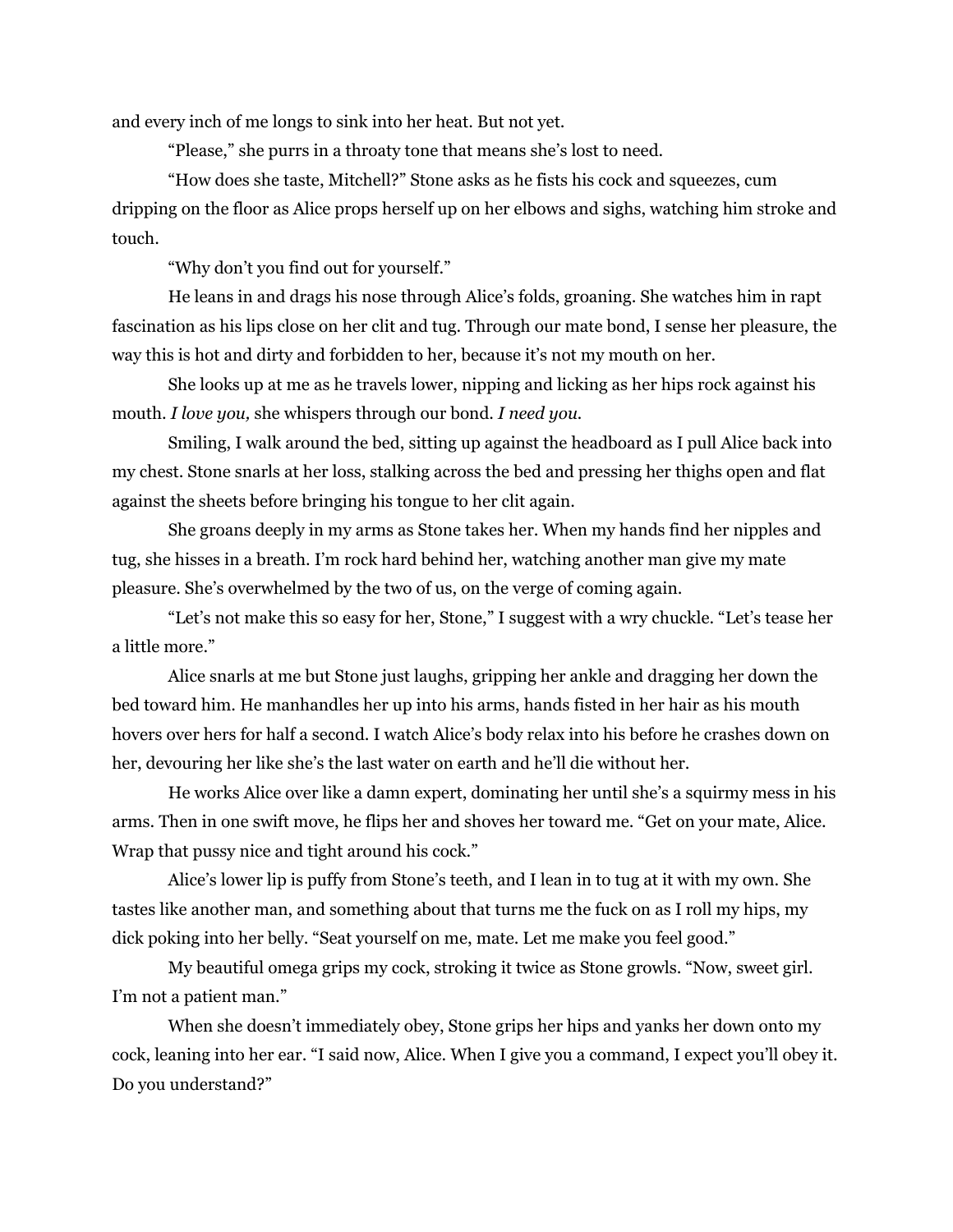and every inch of me longs to sink into her heat. But not yet.

"Please," she purrs in a throaty tone that means she's lost to need.

"How does she taste, Mitchell?" Stone asks as he fists his cock and squeezes, cum dripping on the floor as Alice props herself up on her elbows and sighs, watching him stroke and touch.

"Why don't you find out for yourself."

He leans in and drags his nose through Alice's folds, groaning. She watches him in rapt fascination as his lips close on her clit and tug. Through our mate bond, I sense her pleasure, the way this is hot and dirty and forbidden to her, because it's not my mouth on her.

She looks up at me as he travels lower, nipping and licking as her hips rock against his mouth. *I love you,* she whispers through our bond. *I need you.*

Smiling, I walk around the bed, sitting up against the headboard as I pull Alice back into my chest. Stone snarls at her loss, stalking across the bed and pressing her thighs open and flat against the sheets before bringing his tongue to her clit again.

She groans deeply in my arms as Stone takes her. When my hands find her nipples and tug, she hisses in a breath. I'm rock hard behind her, watching another man give my mate pleasure. She's overwhelmed by the two of us, on the verge of coming again.

"Let's not make this so easy for her, Stone," I suggest with a wry chuckle. "Let's tease her a little more."

Alice snarls at me but Stone just laughs, gripping her ankle and dragging her down the bed toward him. He manhandles her up into his arms, hands fisted in her hair as his mouth hovers over hers for half a second. I watch Alice's body relax into his before he crashes down on her, devouring her like she's the last water on earth and he'll die without her.

He works Alice over like a damn expert, dominating her until she's a squirmy mess in his arms. Then in one swift move, he flips her and shoves her toward me. "Get on your mate, Alice. Wrap that pussy nice and tight around his cock."

Alice's lower lip is puffy from Stone's teeth, and I lean in to tug at it with my own. She tastes like another man, and something about that turns me the fuck on as I roll my hips, my dick poking into her belly. "Seat yourself on me, mate. Let me make you feel good."

My beautiful omega grips my cock, stroking it twice as Stone growls. "Now, sweet girl. I'm not a patient man."

When she doesn't immediately obey, Stone grips her hips and yanks her down onto my cock, leaning into her ear. "I said now, Alice. When I give you a command, I expect you'll obey it. Do you understand?"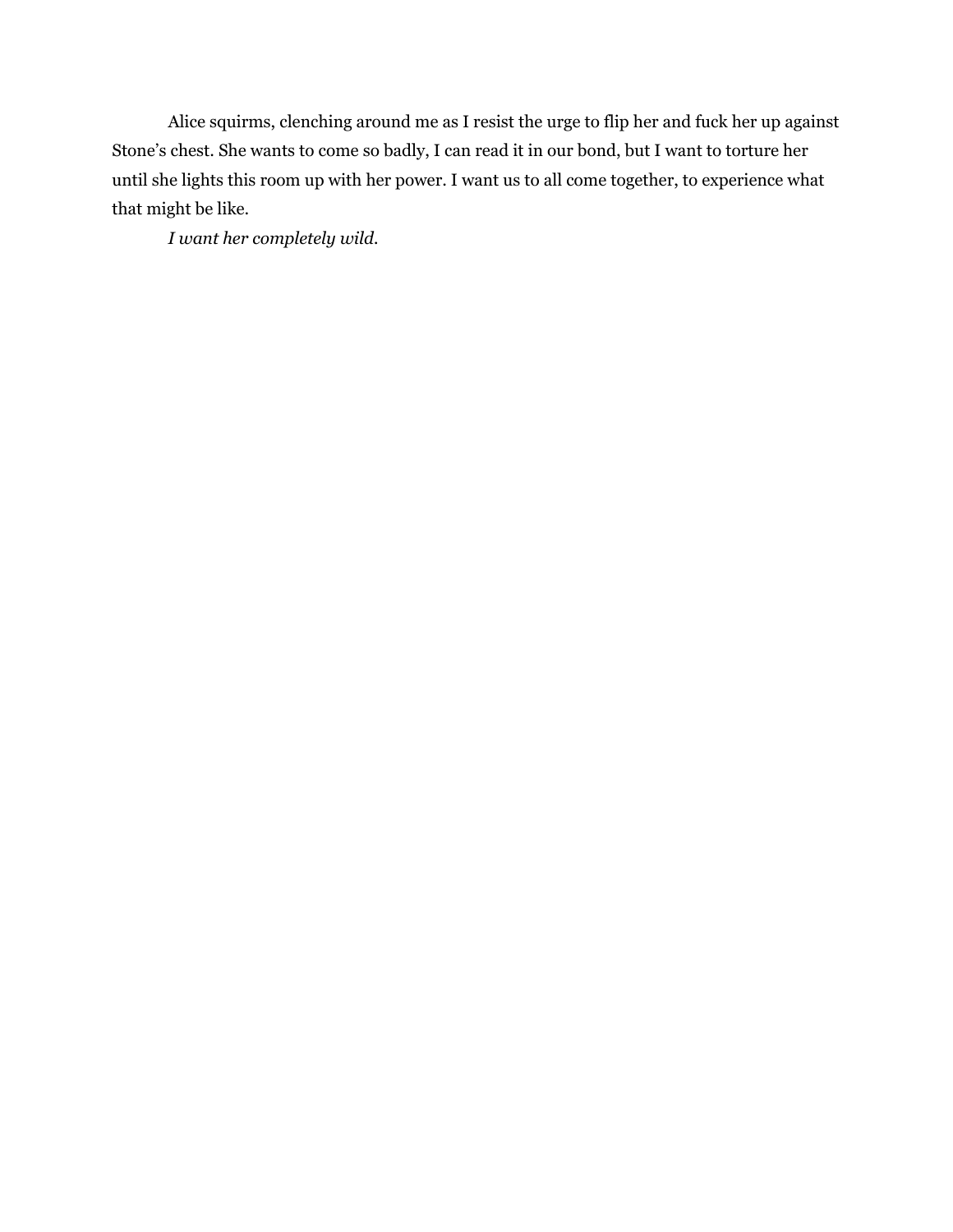Alice squirms, clenching around me as I resist the urge to flip her and fuck her up against Stone's chest. She wants to come so badly, I can read it in our bond, but I want to torture her until she lights this room up with her power. I want us to all come together, to experience what that might be like.

*I want her completely wild.*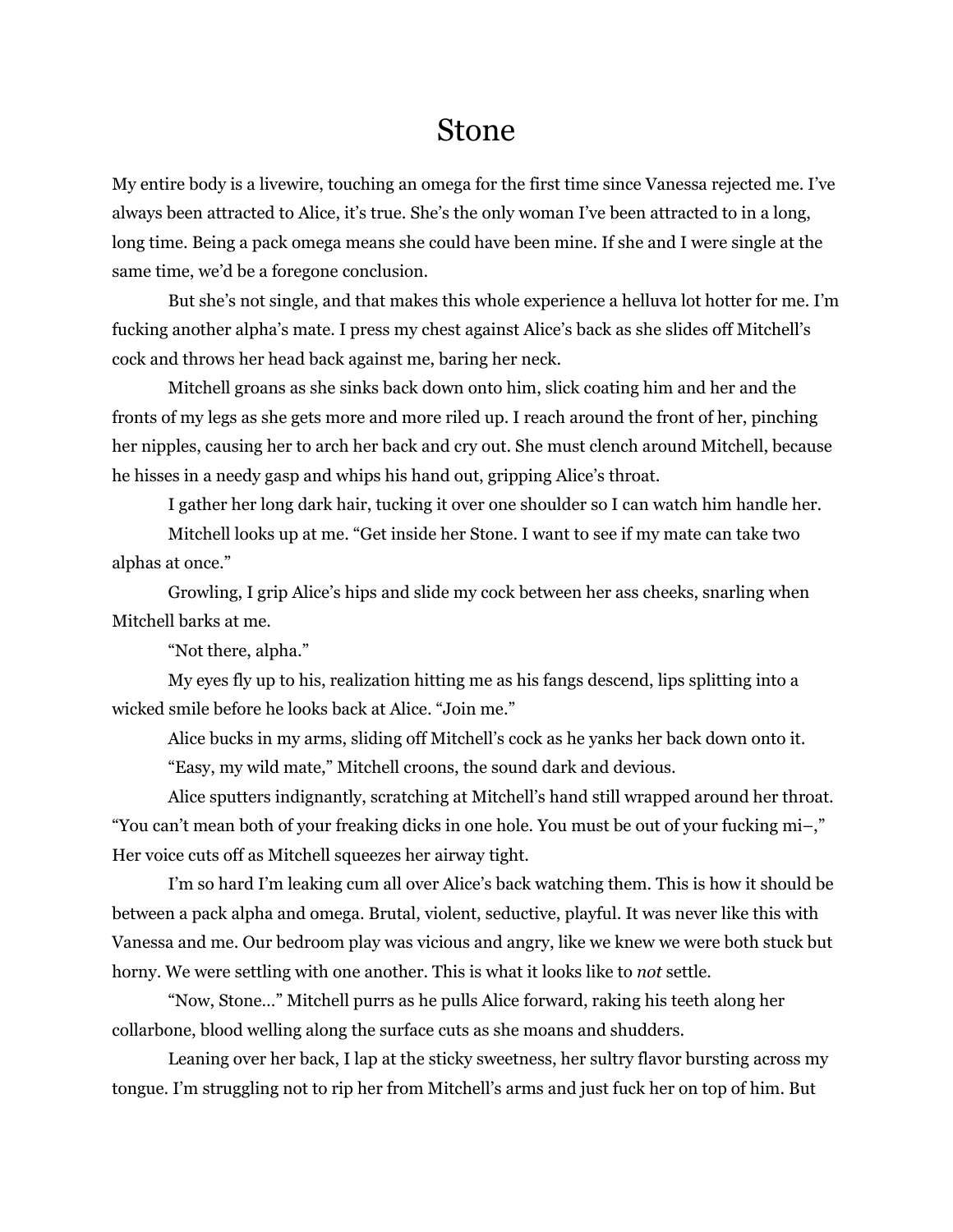#### Stone

My entire body is a livewire, touching an omega for the first time since Vanessa rejected me. I've always been attracted to Alice, it's true. She's the only woman I've been attracted to in a long, long time. Being a pack omega means she could have been mine. If she and I were single at the same time, we'd be a foregone conclusion.

But she's not single, and that makes this whole experience a helluva lot hotter for me. I'm fucking another alpha's mate. I press my chest against Alice's back as she slides off Mitchell's cock and throws her head back against me, baring her neck.

Mitchell groans as she sinks back down onto him, slick coating him and her and the fronts of my legs as she gets more and more riled up. I reach around the front of her, pinching her nipples, causing her to arch her back and cry out. She must clench around Mitchell, because he hisses in a needy gasp and whips his hand out, gripping Alice's throat.

I gather her long dark hair, tucking it over one shoulder so I can watch him handle her.

Mitchell looks up at me. "Get inside her Stone. I want to see if my mate can take two alphas at once."

Growling, I grip Alice's hips and slide my cock between her ass cheeks, snarling when Mitchell barks at me.

"Not there, alpha."

My eyes fly up to his, realization hitting me as his fangs descend, lips splitting into a wicked smile before he looks back at Alice. "Join me."

Alice bucks in my arms, sliding off Mitchell's cock as he yanks her back down onto it. "Easy, my wild mate," Mitchell croons, the sound dark and devious.

Alice sputters indignantly, scratching at Mitchell's hand still wrapped around her throat. "You can't mean both of your freaking dicks in one hole. You must be out of your fucking mi–," Her voice cuts off as Mitchell squeezes her airway tight.

I'm so hard I'm leaking cum all over Alice's back watching them. This is how it should be between a pack alpha and omega. Brutal, violent, seductive, playful. It was never like this with Vanessa and me. Our bedroom play was vicious and angry, like we knew we were both stuck but horny. We were settling with one another. This is what it looks like to *not* settle.

"Now, Stone…" Mitchell purrs as he pulls Alice forward, raking his teeth along her collarbone, blood welling along the surface cuts as she moans and shudders.

Leaning over her back, I lap at the sticky sweetness, her sultry flavor bursting across my tongue. I'm struggling not to rip her from Mitchell's arms and just fuck her on top of him. But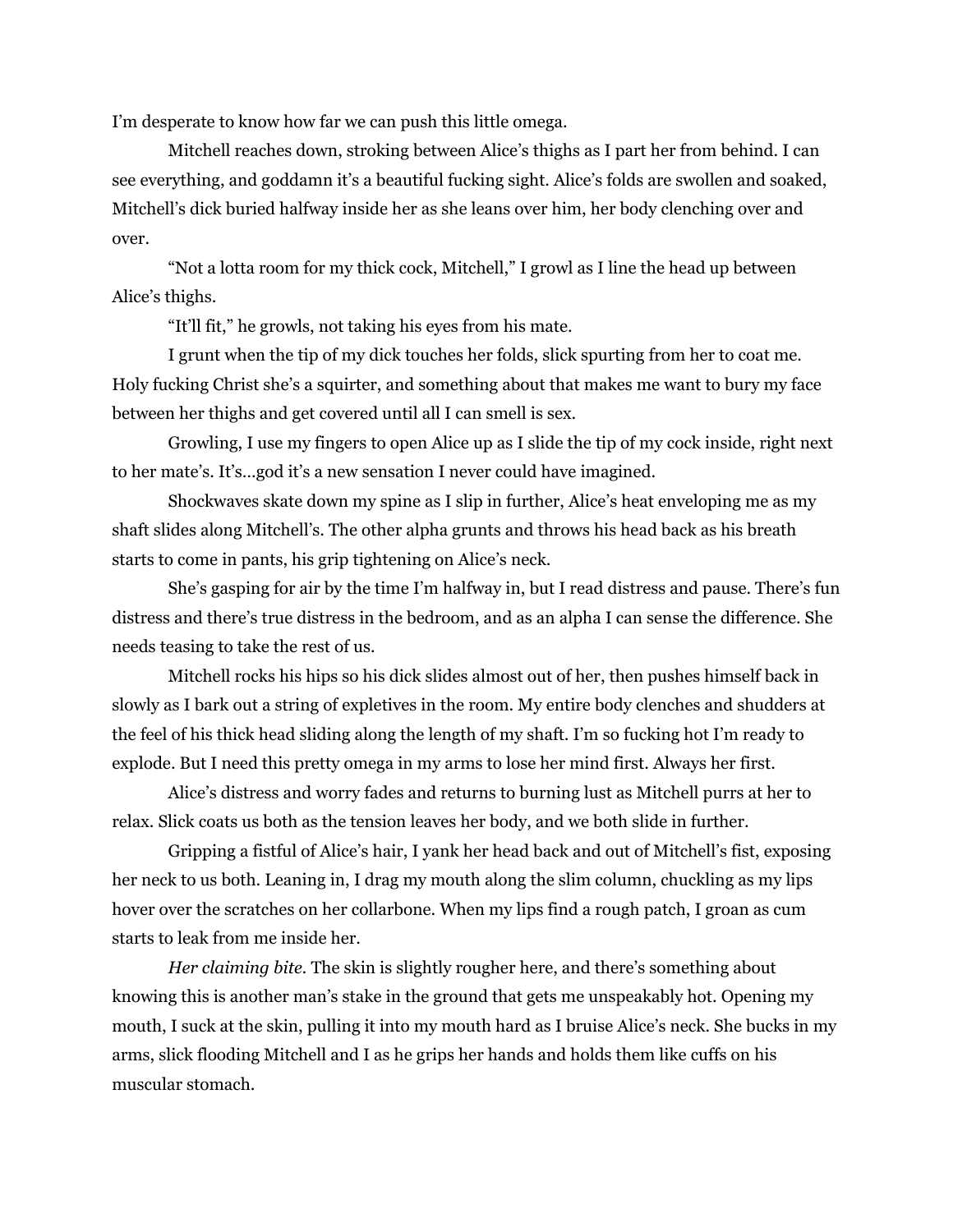I'm desperate to know how far we can push this little omega.

Mitchell reaches down, stroking between Alice's thighs as I part her from behind. I can see everything, and goddamn it's a beautiful fucking sight. Alice's folds are swollen and soaked, Mitchell's dick buried halfway inside her as she leans over him, her body clenching over and over.

"Not a lotta room for my thick cock, Mitchell," I growl as I line the head up between Alice's thighs.

"It'll fit," he growls, not taking his eyes from his mate.

I grunt when the tip of my dick touches her folds, slick spurting from her to coat me. Holy fucking Christ she's a squirter, and something about that makes me want to bury my face between her thighs and get covered until all I can smell is sex.

Growling, I use my fingers to open Alice up as I slide the tip of my cock inside, right next to her mate's. It's…god it's a new sensation I never could have imagined.

Shockwaves skate down my spine as I slip in further, Alice's heat enveloping me as my shaft slides along Mitchell's. The other alpha grunts and throws his head back as his breath starts to come in pants, his grip tightening on Alice's neck.

She's gasping for air by the time I'm halfway in, but I read distress and pause. There's fun distress and there's true distress in the bedroom, and as an alpha I can sense the difference. She needs teasing to take the rest of us.

Mitchell rocks his hips so his dick slides almost out of her, then pushes himself back in slowly as I bark out a string of expletives in the room. My entire body clenches and shudders at the feel of his thick head sliding along the length of my shaft. I'm so fucking hot I'm ready to explode. But I need this pretty omega in my arms to lose her mind first. Always her first.

Alice's distress and worry fades and returns to burning lust as Mitchell purrs at her to relax. Slick coats us both as the tension leaves her body, and we both slide in further.

Gripping a fistful of Alice's hair, I yank her head back and out of Mitchell's fist, exposing her neck to us both. Leaning in, I drag my mouth along the slim column, chuckling as my lips hover over the scratches on her collarbone. When my lips find a rough patch, I groan as cum starts to leak from me inside her.

*Her claiming bite.* The skin is slightly rougher here, and there's something about knowing this is another man's stake in the ground that gets me unspeakably hot. Opening my mouth, I suck at the skin, pulling it into my mouth hard as I bruise Alice's neck. She bucks in my arms, slick flooding Mitchell and I as he grips her hands and holds them like cuffs on his muscular stomach.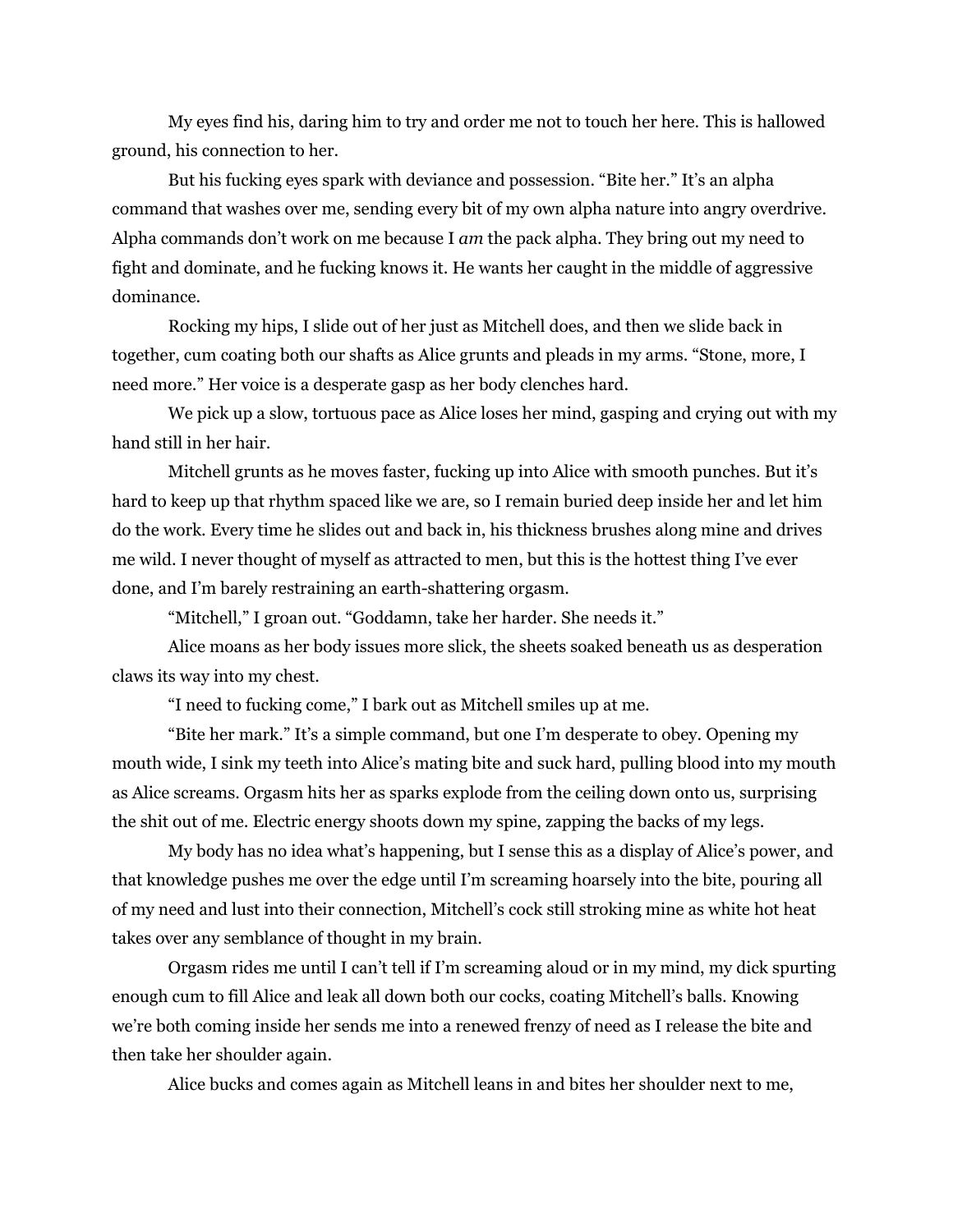My eyes find his, daring him to try and order me not to touch her here. This is hallowed ground, his connection to her.

But his fucking eyes spark with deviance and possession. "Bite her." It's an alpha command that washes over me, sending every bit of my own alpha nature into angry overdrive. Alpha commands don't work on me because I *am* the pack alpha. They bring out my need to fight and dominate, and he fucking knows it. He wants her caught in the middle of aggressive dominance.

Rocking my hips, I slide out of her just as Mitchell does, and then we slide back in together, cum coating both our shafts as Alice grunts and pleads in my arms. "Stone, more, I need more." Her voice is a desperate gasp as her body clenches hard.

We pick up a slow, tortuous pace as Alice loses her mind, gasping and crying out with my hand still in her hair.

Mitchell grunts as he moves faster, fucking up into Alice with smooth punches. But it's hard to keep up that rhythm spaced like we are, so I remain buried deep inside her and let him do the work. Every time he slides out and back in, his thickness brushes along mine and drives me wild. I never thought of myself as attracted to men, but this is the hottest thing I've ever done, and I'm barely restraining an earth-shattering orgasm.

"Mitchell," I groan out. "Goddamn, take her harder. She needs it."

Alice moans as her body issues more slick, the sheets soaked beneath us as desperation claws its way into my chest.

"I need to fucking come," I bark out as Mitchell smiles up at me.

"Bite her mark." It's a simple command, but one I'm desperate to obey. Opening my mouth wide, I sink my teeth into Alice's mating bite and suck hard, pulling blood into my mouth as Alice screams. Orgasm hits her as sparks explode from the ceiling down onto us, surprising the shit out of me. Electric energy shoots down my spine, zapping the backs of my legs.

My body has no idea what's happening, but I sense this as a display of Alice's power, and that knowledge pushes me over the edge until I'm screaming hoarsely into the bite, pouring all of my need and lust into their connection, Mitchell's cock still stroking mine as white hot heat takes over any semblance of thought in my brain.

Orgasm rides me until I can't tell if I'm screaming aloud or in my mind, my dick spurting enough cum to fill Alice and leak all down both our cocks, coating Mitchell's balls. Knowing we're both coming inside her sends me into a renewed frenzy of need as I release the bite and then take her shoulder again.

Alice bucks and comes again as Mitchell leans in and bites her shoulder next to me,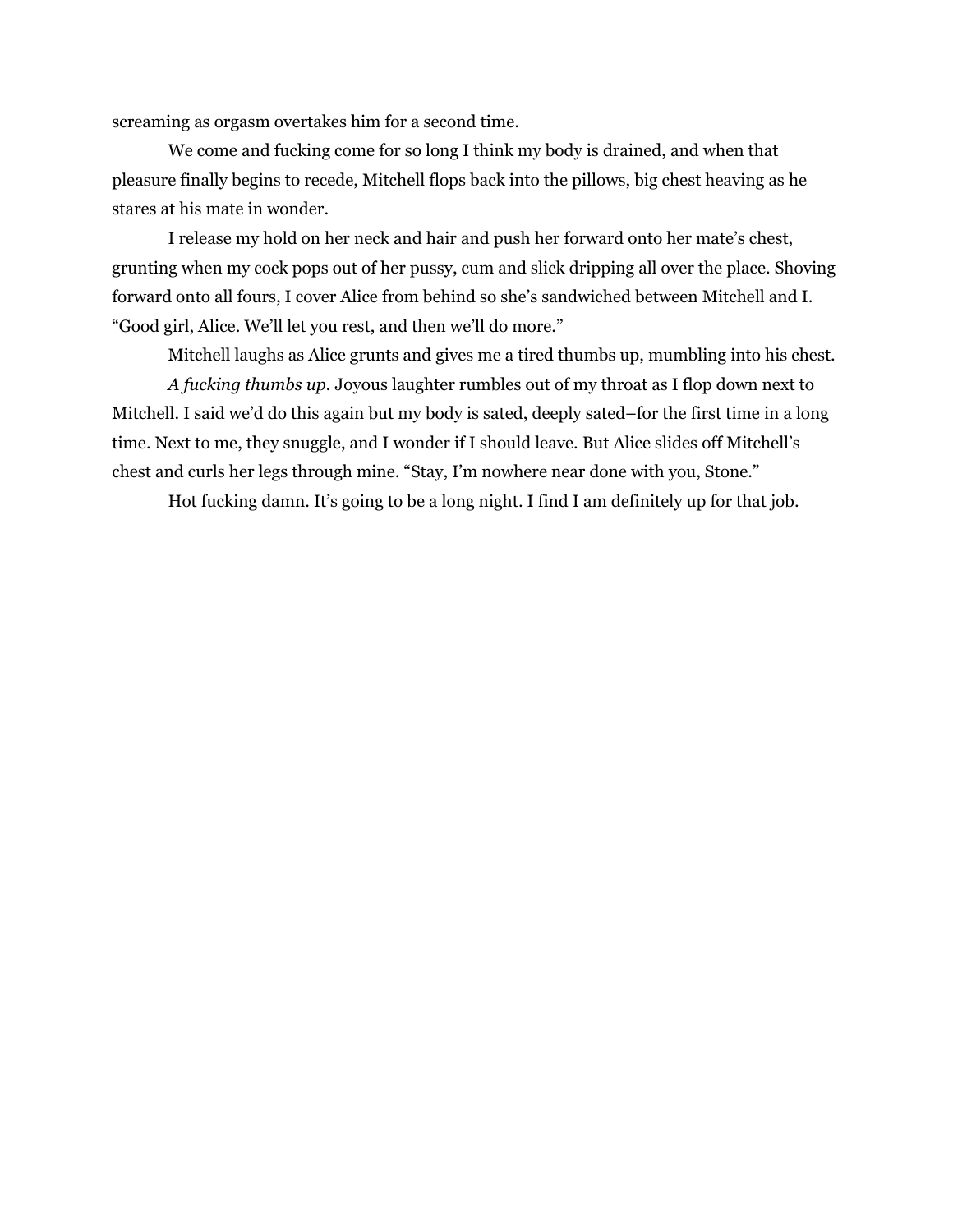screaming as orgasm overtakes him for a second time.

We come and fucking come for so long I think my body is drained, and when that pleasure finally begins to recede, Mitchell flops back into the pillows, big chest heaving as he stares at his mate in wonder.

I release my hold on her neck and hair and push her forward onto her mate's chest, grunting when my cock pops out of her pussy, cum and slick dripping all over the place. Shoving forward onto all fours, I cover Alice from behind so she's sandwiched between Mitchell and I. "Good girl, Alice. We'll let you rest, and then we'll do more."

Mitchell laughs as Alice grunts and gives me a tired thumbs up, mumbling into his chest.

*A fucking thumbs up.* Joyous laughter rumbles out of my throat as I flop down next to Mitchell. I said we'd do this again but my body is sated, deeply sated–for the first time in a long time. Next to me, they snuggle, and I wonder if I should leave. But Alice slides off Mitchell's chest and curls her legs through mine. "Stay, I'm nowhere near done with you, Stone."

Hot fucking damn. It's going to be a long night. I find I am definitely up for that job.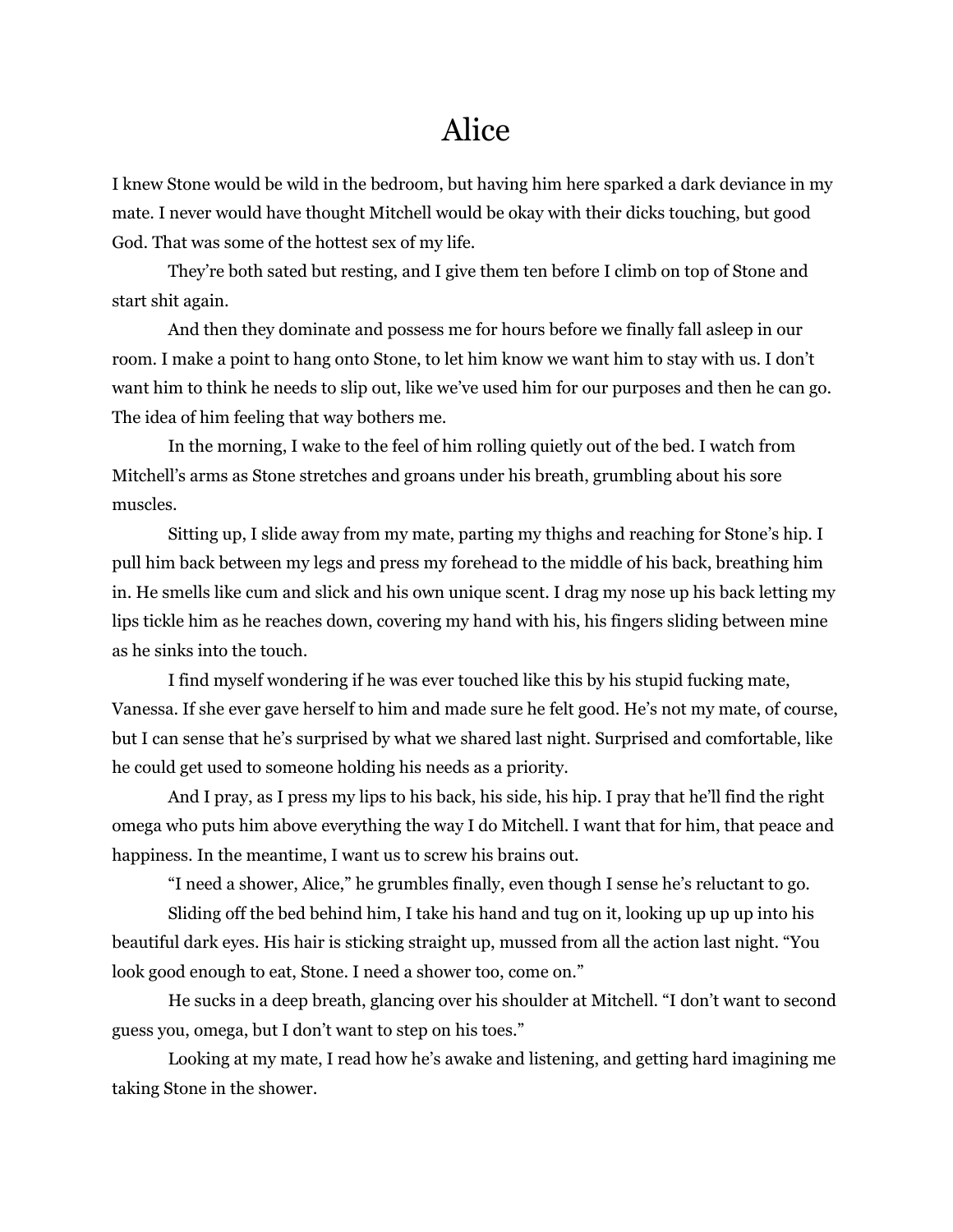# Alice

I knew Stone would be wild in the bedroom, but having him here sparked a dark deviance in my mate. I never would have thought Mitchell would be okay with their dicks touching, but good God. That was some of the hottest sex of my life.

They're both sated but resting, and I give them ten before I climb on top of Stone and start shit again.

And then they dominate and possess me for hours before we finally fall asleep in our room. I make a point to hang onto Stone, to let him know we want him to stay with us. I don't want him to think he needs to slip out, like we've used him for our purposes and then he can go. The idea of him feeling that way bothers me.

In the morning, I wake to the feel of him rolling quietly out of the bed. I watch from Mitchell's arms as Stone stretches and groans under his breath, grumbling about his sore muscles.

Sitting up, I slide away from my mate, parting my thighs and reaching for Stone's hip. I pull him back between my legs and press my forehead to the middle of his back, breathing him in. He smells like cum and slick and his own unique scent. I drag my nose up his back letting my lips tickle him as he reaches down, covering my hand with his, his fingers sliding between mine as he sinks into the touch.

I find myself wondering if he was ever touched like this by his stupid fucking mate, Vanessa. If she ever gave herself to him and made sure he felt good. He's not my mate, of course, but I can sense that he's surprised by what we shared last night. Surprised and comfortable, like he could get used to someone holding his needs as a priority.

And I pray, as I press my lips to his back, his side, his hip. I pray that he'll find the right omega who puts him above everything the way I do Mitchell. I want that for him, that peace and happiness. In the meantime, I want us to screw his brains out.

"I need a shower, Alice," he grumbles finally, even though I sense he's reluctant to go.

Sliding off the bed behind him, I take his hand and tug on it, looking up up up into his beautiful dark eyes. His hair is sticking straight up, mussed from all the action last night. "You look good enough to eat, Stone. I need a shower too, come on."

He sucks in a deep breath, glancing over his shoulder at Mitchell. "I don't want to second guess you, omega, but I don't want to step on his toes."

Looking at my mate, I read how he's awake and listening, and getting hard imagining me taking Stone in the shower.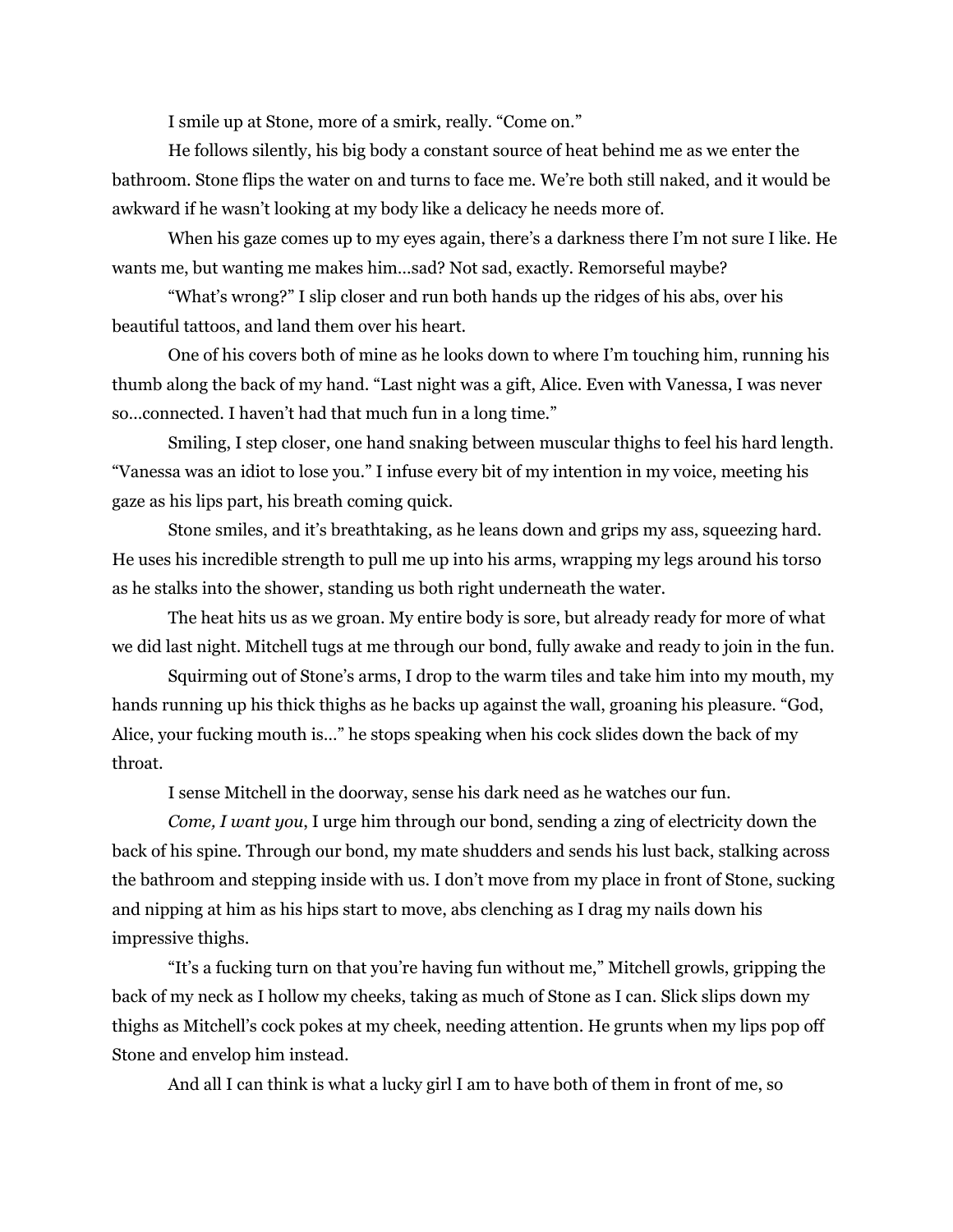I smile up at Stone, more of a smirk, really. "Come on."

He follows silently, his big body a constant source of heat behind me as we enter the bathroom. Stone flips the water on and turns to face me. We're both still naked, and it would be awkward if he wasn't looking at my body like a delicacy he needs more of.

When his gaze comes up to my eyes again, there's a darkness there I'm not sure I like. He wants me, but wanting me makes him…sad? Not sad, exactly. Remorseful maybe?

"What's wrong?" I slip closer and run both hands up the ridges of his abs, over his beautiful tattoos, and land them over his heart.

One of his covers both of mine as he looks down to where I'm touching him, running his thumb along the back of my hand. "Last night was a gift, Alice. Even with Vanessa, I was never so…connected. I haven't had that much fun in a long time."

Smiling, I step closer, one hand snaking between muscular thighs to feel his hard length. "Vanessa was an idiot to lose you." I infuse every bit of my intention in my voice, meeting his gaze as his lips part, his breath coming quick.

Stone smiles, and it's breathtaking, as he leans down and grips my ass, squeezing hard. He uses his incredible strength to pull me up into his arms, wrapping my legs around his torso as he stalks into the shower, standing us both right underneath the water.

The heat hits us as we groan. My entire body is sore, but already ready for more of what we did last night. Mitchell tugs at me through our bond, fully awake and ready to join in the fun.

Squirming out of Stone's arms, I drop to the warm tiles and take him into my mouth, my hands running up his thick thighs as he backs up against the wall, groaning his pleasure. "God, Alice, your fucking mouth is…" he stops speaking when his cock slides down the back of my throat.

I sense Mitchell in the doorway, sense his dark need as he watches our fun.

*Come, I want you*, I urge him through our bond, sending a zing of electricity down the back of his spine. Through our bond, my mate shudders and sends his lust back, stalking across the bathroom and stepping inside with us. I don't move from my place in front of Stone, sucking and nipping at him as his hips start to move, abs clenching as I drag my nails down his impressive thighs.

"It's a fucking turn on that you're having fun without me," Mitchell growls, gripping the back of my neck as I hollow my cheeks, taking as much of Stone as I can. Slick slips down my thighs as Mitchell's cock pokes at my cheek, needing attention. He grunts when my lips pop off Stone and envelop him instead.

And all I can think is what a lucky girl I am to have both of them in front of me, so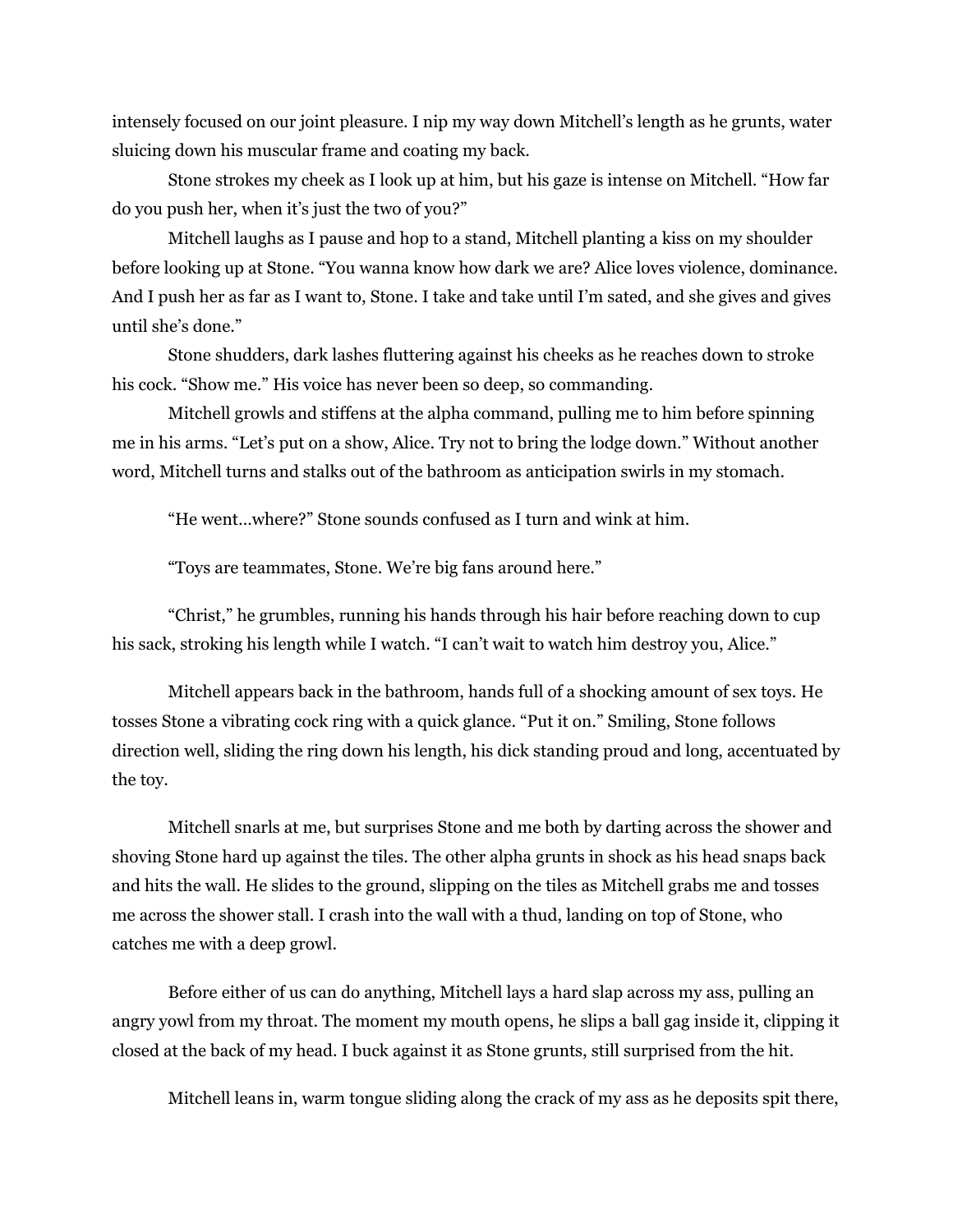intensely focused on our joint pleasure. I nip my way down Mitchell's length as he grunts, water sluicing down his muscular frame and coating my back.

Stone strokes my cheek as I look up at him, but his gaze is intense on Mitchell. "How far do you push her, when it's just the two of you?"

Mitchell laughs as I pause and hop to a stand, Mitchell planting a kiss on my shoulder before looking up at Stone. "You wanna know how dark we are? Alice loves violence, dominance. And I push her as far as I want to, Stone. I take and take until I'm sated, and she gives and gives until she's done."

Stone shudders, dark lashes fluttering against his cheeks as he reaches down to stroke his cock. "Show me." His voice has never been so deep, so commanding.

Mitchell growls and stiffens at the alpha command, pulling me to him before spinning me in his arms. "Let's put on a show, Alice. Try not to bring the lodge down." Without another word, Mitchell turns and stalks out of the bathroom as anticipation swirls in my stomach.

"He went…where?" Stone sounds confused as I turn and wink at him.

"Toys are teammates, Stone. We're big fans around here."

"Christ," he grumbles, running his hands through his hair before reaching down to cup his sack, stroking his length while I watch. "I can't wait to watch him destroy you, Alice."

Mitchell appears back in the bathroom, hands full of a shocking amount of sex toys. He tosses Stone a vibrating cock ring with a quick glance. "Put it on." Smiling, Stone follows direction well, sliding the ring down his length, his dick standing proud and long, accentuated by the toy.

Mitchell snarls at me, but surprises Stone and me both by darting across the shower and shoving Stone hard up against the tiles. The other alpha grunts in shock as his head snaps back and hits the wall. He slides to the ground, slipping on the tiles as Mitchell grabs me and tosses me across the shower stall. I crash into the wall with a thud, landing on top of Stone, who catches me with a deep growl.

Before either of us can do anything, Mitchell lays a hard slap across my ass, pulling an angry yowl from my throat. The moment my mouth opens, he slips a ball gag inside it, clipping it closed at the back of my head. I buck against it as Stone grunts, still surprised from the hit.

Mitchell leans in, warm tongue sliding along the crack of my ass as he deposits spit there,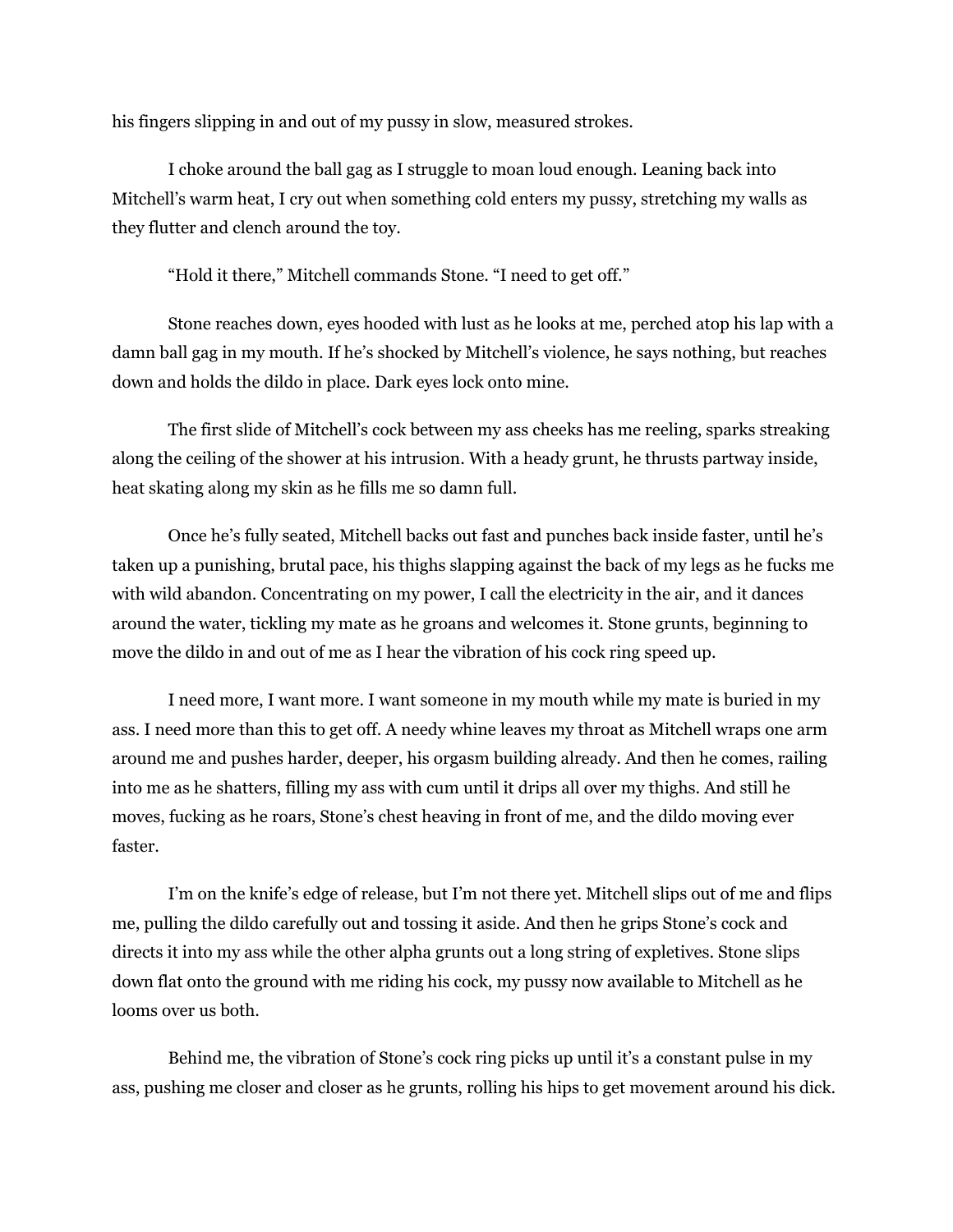his fingers slipping in and out of my pussy in slow, measured strokes.

I choke around the ball gag as I struggle to moan loud enough. Leaning back into Mitchell's warm heat, I cry out when something cold enters my pussy, stretching my walls as they flutter and clench around the toy.

"Hold it there," Mitchell commands Stone. "I need to get off."

Stone reaches down, eyes hooded with lust as he looks at me, perched atop his lap with a damn ball gag in my mouth. If he's shocked by Mitchell's violence, he says nothing, but reaches down and holds the dildo in place. Dark eyes lock onto mine.

The first slide of Mitchell's cock between my ass cheeks has me reeling, sparks streaking along the ceiling of the shower at his intrusion. With a heady grunt, he thrusts partway inside, heat skating along my skin as he fills me so damn full.

Once he's fully seated, Mitchell backs out fast and punches back inside faster, until he's taken up a punishing, brutal pace, his thighs slapping against the back of my legs as he fucks me with wild abandon. Concentrating on my power, I call the electricity in the air, and it dances around the water, tickling my mate as he groans and welcomes it. Stone grunts, beginning to move the dildo in and out of me as I hear the vibration of his cock ring speed up.

I need more, I want more. I want someone in my mouth while my mate is buried in my ass. I need more than this to get off. A needy whine leaves my throat as Mitchell wraps one arm around me and pushes harder, deeper, his orgasm building already. And then he comes, railing into me as he shatters, filling my ass with cum until it drips all over my thighs. And still he moves, fucking as he roars, Stone's chest heaving in front of me, and the dildo moving ever faster.

I'm on the knife's edge of release, but I'm not there yet. Mitchell slips out of me and flips me, pulling the dildo carefully out and tossing it aside. And then he grips Stone's cock and directs it into my ass while the other alpha grunts out a long string of expletives. Stone slips down flat onto the ground with me riding his cock, my pussy now available to Mitchell as he looms over us both.

Behind me, the vibration of Stone's cock ring picks up until it's a constant pulse in my ass, pushing me closer and closer as he grunts, rolling his hips to get movement around his dick.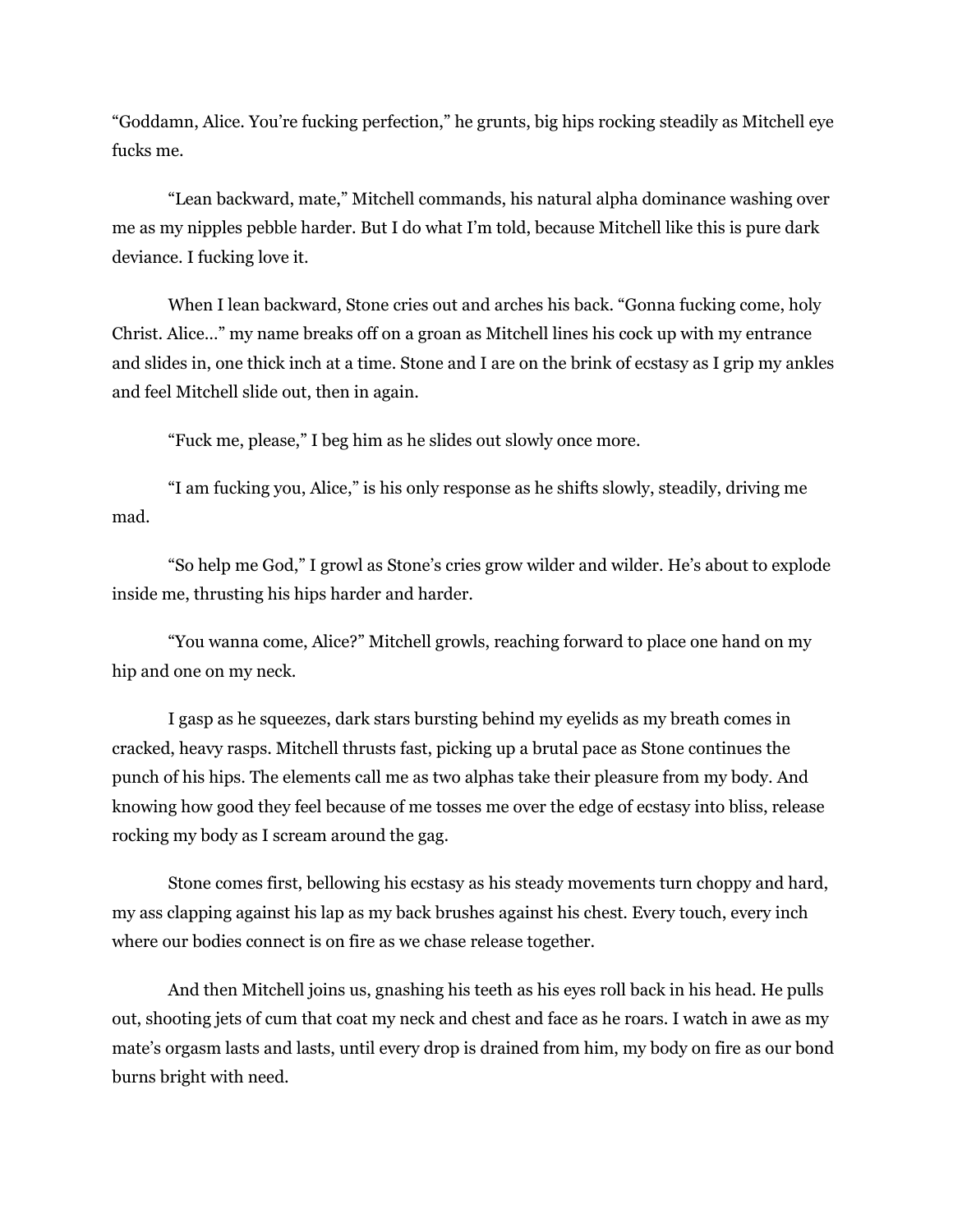"Goddamn, Alice. You're fucking perfection," he grunts, big hips rocking steadily as Mitchell eye fucks me.

"Lean backward, mate," Mitchell commands, his natural alpha dominance washing over me as my nipples pebble harder. But I do what I'm told, because Mitchell like this is pure dark deviance. I fucking love it.

When I lean backward, Stone cries out and arches his back. "Gonna fucking come, holy Christ. Alice…" my name breaks off on a groan as Mitchell lines his cock up with my entrance and slides in, one thick inch at a time. Stone and I are on the brink of ecstasy as I grip my ankles and feel Mitchell slide out, then in again.

"Fuck me, please," I beg him as he slides out slowly once more.

"I am fucking you, Alice," is his only response as he shifts slowly, steadily, driving me mad.

"So help me God," I growl as Stone's cries grow wilder and wilder. He's about to explode inside me, thrusting his hips harder and harder.

"You wanna come, Alice?" Mitchell growls, reaching forward to place one hand on my hip and one on my neck.

I gasp as he squeezes, dark stars bursting behind my eyelids as my breath comes in cracked, heavy rasps. Mitchell thrusts fast, picking up a brutal pace as Stone continues the punch of his hips. The elements call me as two alphas take their pleasure from my body. And knowing how good they feel because of me tosses me over the edge of ecstasy into bliss, release rocking my body as I scream around the gag.

Stone comes first, bellowing his ecstasy as his steady movements turn choppy and hard, my ass clapping against his lap as my back brushes against his chest. Every touch, every inch where our bodies connect is on fire as we chase release together.

And then Mitchell joins us, gnashing his teeth as his eyes roll back in his head. He pulls out, shooting jets of cum that coat my neck and chest and face as he roars. I watch in awe as my mate's orgasm lasts and lasts, until every drop is drained from him, my body on fire as our bond burns bright with need.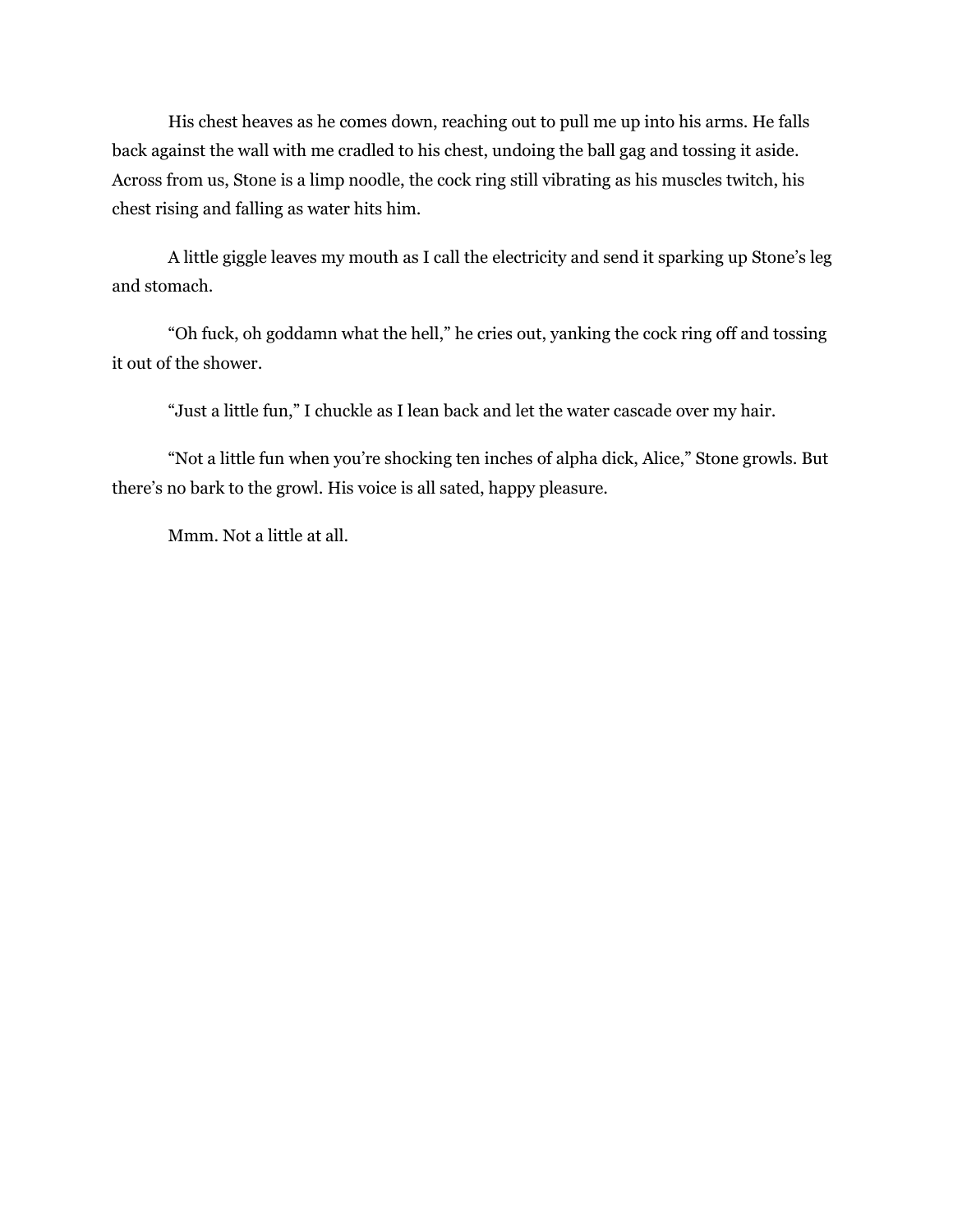His chest heaves as he comes down, reaching out to pull me up into his arms. He falls back against the wall with me cradled to his chest, undoing the ball gag and tossing it aside. Across from us, Stone is a limp noodle, the cock ring still vibrating as his muscles twitch, his chest rising and falling as water hits him.

A little giggle leaves my mouth as I call the electricity and send it sparking up Stone's leg and stomach.

"Oh fuck, oh goddamn what the hell," he cries out, yanking the cock ring off and tossing it out of the shower.

"Just a little fun," I chuckle as I lean back and let the water cascade over my hair.

"Not a little fun when you're shocking ten inches of alpha dick, Alice," Stone growls. But there's no bark to the growl. His voice is all sated, happy pleasure.

Mmm. Not a little at all.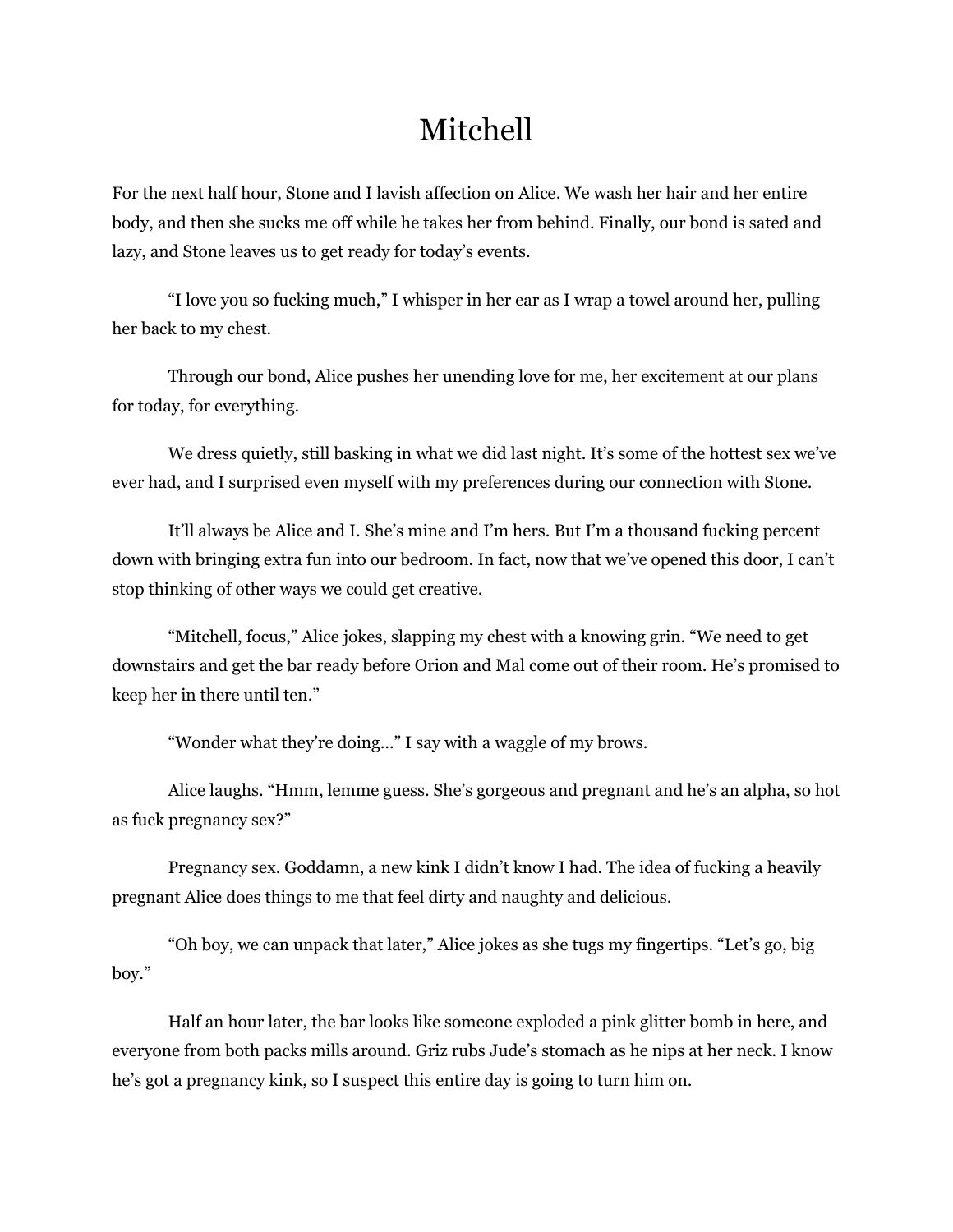# Mitchell

For the next half hour, Stone and I lavish affection on Alice. We wash her hair and her entire body, and then she sucks me off while he takes her from behind. Finally, our bond is sated and lazy, and Stone leaves us to get ready for today's events.

"I love you so fucking much," I whisper in her ear as I wrap a towel around her, pulling her back to my chest.

Through our bond, Alice pushes her unending love for me, her excitement at our plans for today, for everything.

We dress quietly, still basking in what we did last night. It's some of the hottest sex we've ever had, and I surprised even myself with my preferences during our connection with Stone.

It'll always be Alice and I. She's mine and I'm hers. But I'm a thousand fucking percent down with bringing extra fun into our bedroom. In fact, now that we've opened this door, I can't stop thinking of other ways we could get creative.

"Mitchell, focus," Alice jokes, slapping my chest with a knowing grin. "We need to get downstairs and get the bar ready before Orion and Mal come out of their room. He's promised to keep her in there until ten."

"Wonder what they're doing…" I say with a waggle of my brows.

Alice laughs. "Hmm, lemme guess. She's gorgeous and pregnant and he's an alpha, so hot as fuck pregnancy sex?"

Pregnancy sex. Goddamn, a new kink I didn't know I had. The idea of fucking a heavily pregnant Alice does things to me that feel dirty and naughty and delicious.

"Oh boy, we can unpack that later," Alice jokes as she tugs my fingertips. "Let's go, big boy."

Half an hour later, the bar looks like someone exploded a pink glitter bomb in here, and everyone from both packs mills around. Griz rubs Jude's stomach as he nips at her neck. I know he's got a pregnancy kink, so I suspect this entire day is going to turn him on.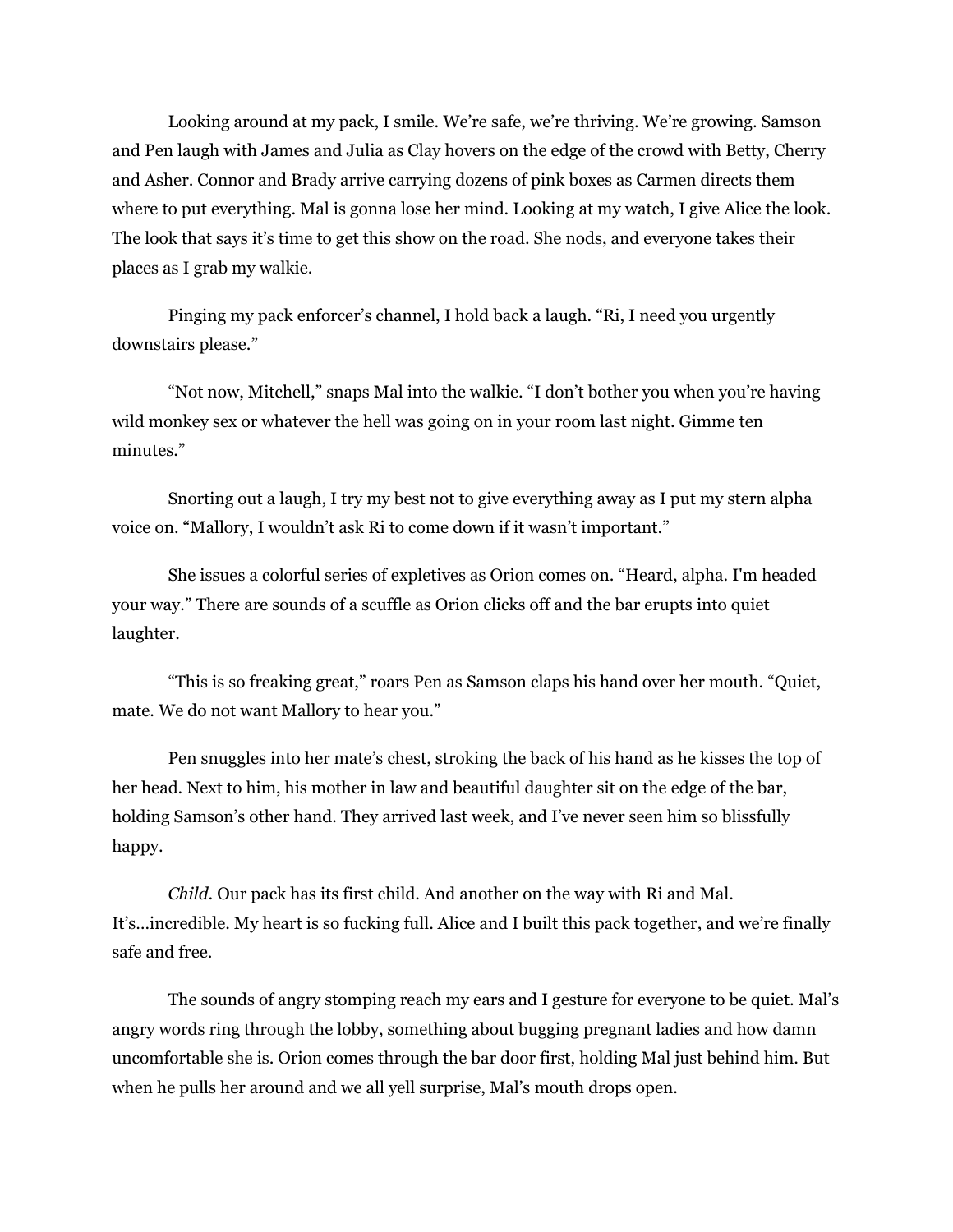Looking around at my pack, I smile. We're safe, we're thriving. We're growing. Samson and Pen laugh with James and Julia as Clay hovers on the edge of the crowd with Betty, Cherry and Asher. Connor and Brady arrive carrying dozens of pink boxes as Carmen directs them where to put everything. Mal is gonna lose her mind. Looking at my watch, I give Alice the look. The look that says it's time to get this show on the road. She nods, and everyone takes their places as I grab my walkie.

Pinging my pack enforcer's channel, I hold back a laugh. "Ri, I need you urgently downstairs please."

"Not now, Mitchell," snaps Mal into the walkie. "I don't bother you when you're having wild monkey sex or whatever the hell was going on in your room last night. Gimme ten minutes."

Snorting out a laugh, I try my best not to give everything away as I put my stern alpha voice on. "Mallory, I wouldn't ask Ri to come down if it wasn't important."

She issues a colorful series of expletives as Orion comes on. "Heard, alpha. I'm headed your way." There are sounds of a scuffle as Orion clicks off and the bar erupts into quiet laughter.

"This is so freaking great," roars Pen as Samson claps his hand over her mouth. "Quiet, mate. We do not want Mallory to hear you."

Pen snuggles into her mate's chest, stroking the back of his hand as he kisses the top of her head. Next to him, his mother in law and beautiful daughter sit on the edge of the bar, holding Samson's other hand. They arrived last week, and I've never seen him so blissfully happy.

*Child*. Our pack has its first child. And another on the way with Ri and Mal. It's…incredible. My heart is so fucking full. Alice and I built this pack together, and we're finally safe and free.

The sounds of angry stomping reach my ears and I gesture for everyone to be quiet. Mal's angry words ring through the lobby, something about bugging pregnant ladies and how damn uncomfortable she is. Orion comes through the bar door first, holding Mal just behind him. But when he pulls her around and we all yell surprise, Mal's mouth drops open.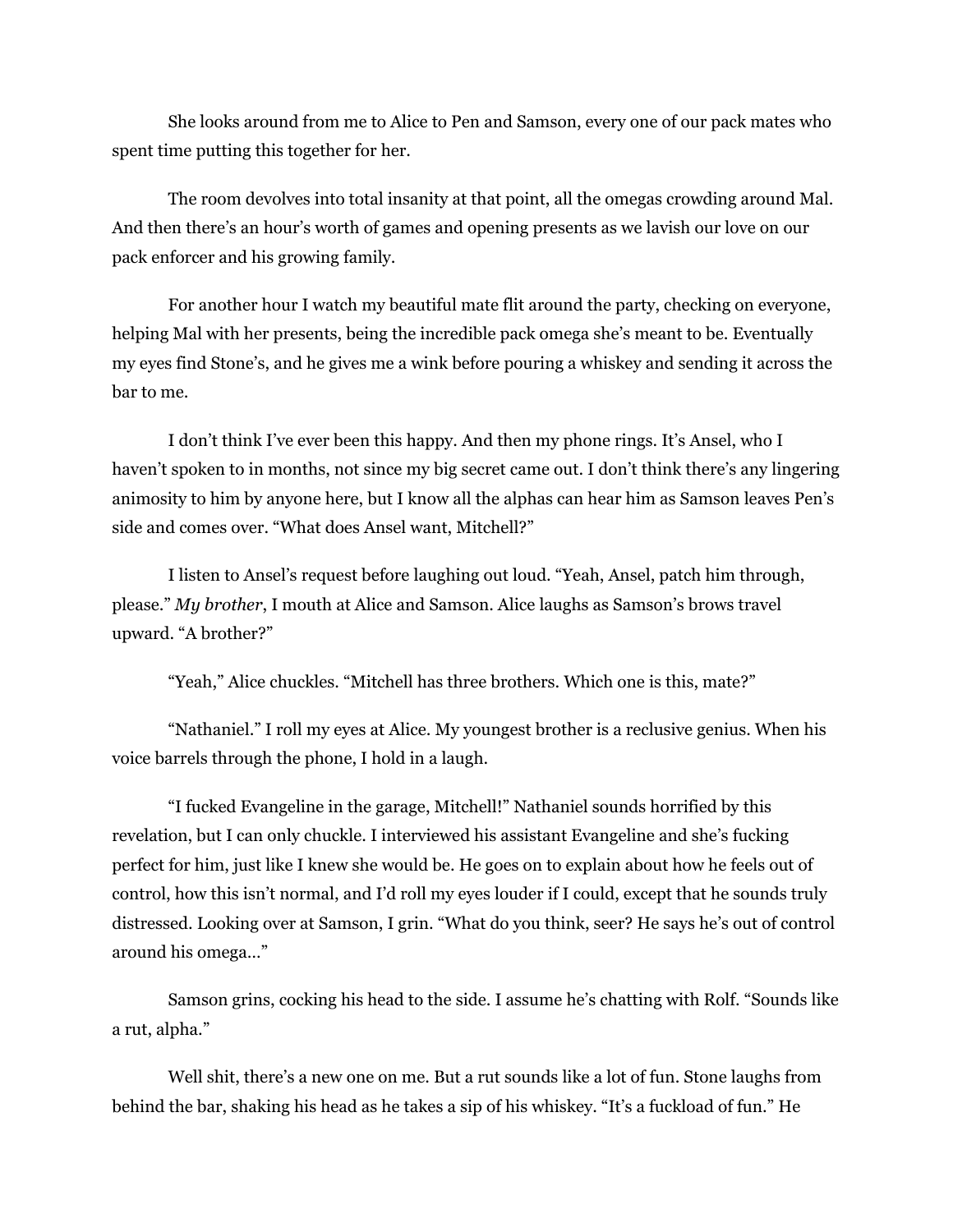She looks around from me to Alice to Pen and Samson, every one of our pack mates who spent time putting this together for her.

The room devolves into total insanity at that point, all the omegas crowding around Mal. And then there's an hour's worth of games and opening presents as we lavish our love on our pack enforcer and his growing family.

For another hour I watch my beautiful mate flit around the party, checking on everyone, helping Mal with her presents, being the incredible pack omega she's meant to be. Eventually my eyes find Stone's, and he gives me a wink before pouring a whiskey and sending it across the bar to me.

I don't think I've ever been this happy. And then my phone rings. It's Ansel, who I haven't spoken to in months, not since my big secret came out. I don't think there's any lingering animosity to him by anyone here, but I know all the alphas can hear him as Samson leaves Pen's side and comes over. "What does Ansel want, Mitchell?"

I listen to Ansel's request before laughing out loud. "Yeah, Ansel, patch him through, please." *My brother*, I mouth at Alice and Samson. Alice laughs as Samson's brows travel upward. "A brother?"

"Yeah," Alice chuckles. "Mitchell has three brothers. Which one is this, mate?"

"Nathaniel." I roll my eyes at Alice. My youngest brother is a reclusive genius. When his voice barrels through the phone, I hold in a laugh.

"I fucked Evangeline in the garage, Mitchell!" Nathaniel sounds horrified by this revelation, but I can only chuckle. I interviewed his assistant Evangeline and she's fucking perfect for him, just like I knew she would be. He goes on to explain about how he feels out of control, how this isn't normal, and I'd roll my eyes louder if I could, except that he sounds truly distressed. Looking over at Samson, I grin. "What do you think, seer? He says he's out of control around his omega…"

Samson grins, cocking his head to the side. I assume he's chatting with Rolf. "Sounds like a rut, alpha."

Well shit, there's a new one on me. But a rut sounds like a lot of fun. Stone laughs from behind the bar, shaking his head as he takes a sip of his whiskey. "It's a fuckload of fun." He